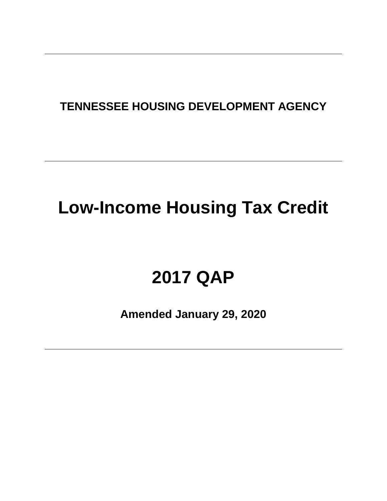# **TENNESSEE HOUSING DEVELOPMENT AGENCY**

# **Low-Income Housing Tax Credit**

# **2017 QAP**

**Amended January 29, 2020**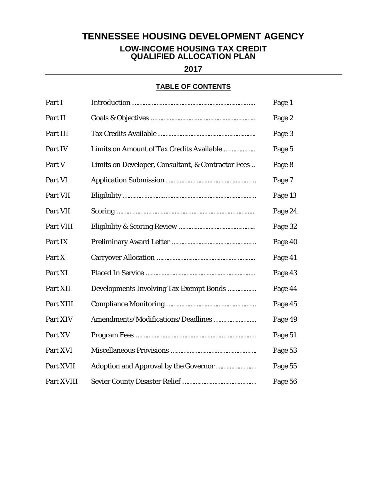# **TENNESSEE HOUSING DEVELOPMENT AGENCY**

#### **LOW-INCOME HOUSING TAX CREDIT QUALIFIED ALLOCATION PLAN**

**2017**

# **TABLE OF CONTENTS**

| Part I     |                                                    | Page 1  |
|------------|----------------------------------------------------|---------|
| Part II    |                                                    | Page 2  |
| Part III   |                                                    | Page 3  |
| Part IV    | Limits on Amount of Tax Credits Available          | Page 5  |
| Part V     | Limits on Developer, Consultant, & Contractor Fees | Page 8  |
| Part VI    |                                                    | Page 7  |
| Part VII   |                                                    | Page 13 |
| Part VII   |                                                    | Page 24 |
| Part VIII  |                                                    | Page 32 |
| Part IX    |                                                    | Page 40 |
| Part X     |                                                    | Page 41 |
| Part XI    |                                                    | Page 43 |
| Part XII   | Developments Involving Tax Exempt Bonds            | Page 44 |
| Part XIII  |                                                    | Page 45 |
| Part XIV   | Amendments/Modifications/Deadlines                 | Page 49 |
| Part XV    |                                                    | Page 51 |
| Part XVI   |                                                    | Page 53 |
| Part XVII  | Adoption and Approval by the Governor              | Page 55 |
| Part XVIII |                                                    | Page 56 |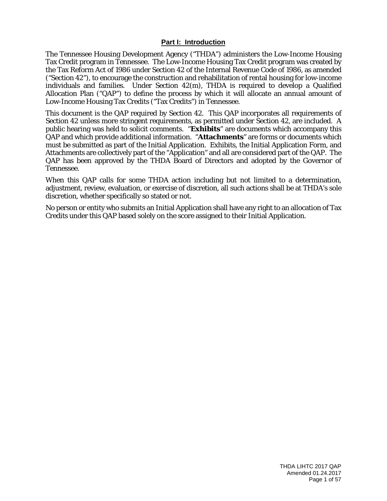#### **Part I: Introduction**

The Tennessee Housing Development Agency ("THDA") administers the Low-Income Housing Tax Credit program in Tennessee. The Low-Income Housing Tax Credit program was created by the Tax Reform Act of 1986 under Section 42 of the Internal Revenue Code of 1986, as amended ("Section 42"), to encourage the construction and rehabilitation of rental housing for low-income individuals and families. Under Section 42(m), THDA is required to develop a Qualified Allocation Plan ("QAP") to define the process by which it will allocate an annual amount of Low-Income Housing Tax Credits ("Tax Credits") in Tennessee.

This document is the QAP required by Section 42. This QAP incorporates all requirements of Section 42 unless more stringent requirements, as permitted under Section 42, are included. A public hearing was held to solicit comments. "**Exhibits**" are documents which accompany this QAP and which provide additional information. "**Attachments**" are forms or documents which must be submitted as part of the Initial Application. Exhibits, the Initial Application Form, and Attachments are collectively part of the "Application" and all are considered part of the QAP. The QAP has been approved by the THDA Board of Directors and adopted by the Governor of Tennessee.

When this QAP calls for some THDA action including but not limited to a determination, adjustment, review, evaluation, or exercise of discretion, all such actions shall be at THDA's sole discretion, whether specifically so stated or not.

No person or entity who submits an Initial Application shall have any right to an allocation of Tax Credits under this QAP based solely on the score assigned to their Initial Application.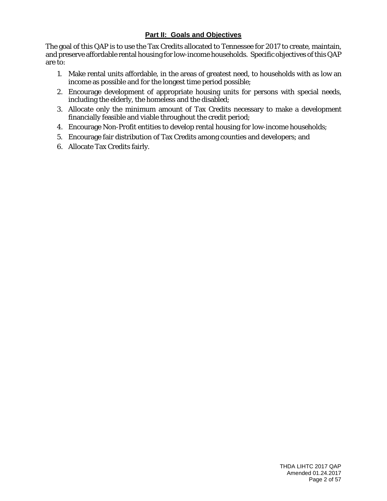# **Part II: Goals and Objectives**

The goal of this QAP is to use the Tax Credits allocated to Tennessee for 2017 to create, maintain, and preserve affordable rental housing for low-income households. Specific objectives of this QAP are to:

- 1. Make rental units affordable, in the areas of greatest need, to households with as low an income as possible and for the longest time period possible;
- 2. Encourage development of appropriate housing units for persons with special needs, including the elderly, the homeless and the disabled;
- 3. Allocate only the minimum amount of Tax Credits necessary to make a development financially feasible and viable throughout the credit period;
- 4. Encourage Non-Profit entities to develop rental housing for low-income households;
- 5. Encourage fair distribution of Tax Credits among counties and developers; and
- 6. Allocate Tax Credits fairly.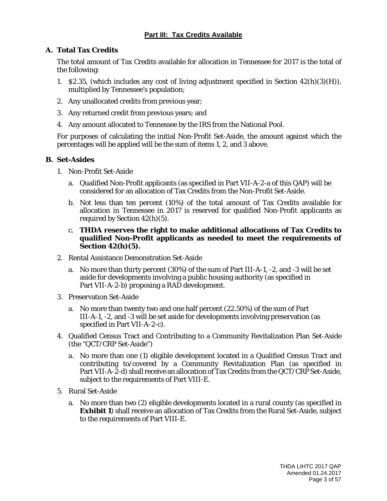# **Part III: Tax Credits Available**

# **A. Total Tax Credits**

The total amount of Tax Credits available for allocation in Tennessee for 2017 is the total of the following:

- 1. \$2.35, (which includes any cost of living adjustment specified in Section  $42(h)(3)(H)$ ), multiplied by Tennessee's population;
- 2. Any unallocated credits from previous year;
- 3. Any returned credit from previous years; and
- 4. Any amount allocated to Tennessee by the IRS from the National Pool.

For purposes of calculating the initial Non-Profit Set-Aside, the amount against which the percentages will be applied will be the sum of items 1, 2, and 3 above.

#### **B. Set-Asides**

- 1. Non-Profit Set-Aside
	- a. Qualified Non-Profit applicants (as specified in Part VII-A-2-a of this QAP) will be considered for an allocation of Tax Credits from the Non-Profit Set-Aside.
	- b. Not less than ten percent (10%) of the total amount of Tax Credits available for allocation in Tennessee in 2017 is reserved for qualified Non-Profit applicants as required by Section 42(h)(5).
	- c. **THDA reserves the right to make additional allocations of Tax Credits to qualified Non-Profit applicants as needed to meet the requirements of Section 42(h)(5).**
- 2. Rental Assistance Demonstration Set-Aside
	- a. No more than thirty percent (30%) of the sum of Part III-A-1, -2, and -3 will be set aside for developments involving a public housing authority (as specified in Part VII-A-2-b) proposing a RAD development.
- 3. Preservation Set-Aside
	- a. No more than twenty two and one half percent (22.50%) of the sum of Part III-A-1, -2, and -3 will be set aside for developments involving preservation (as specified in Part VII-A-2-c).
- 4. Qualified Census Tract and Contributing to a Community Revitalization Plan Set-Aside (the "QCT/CRP Set-Aside")
	- a. No more than one (1) eligible development located in a Qualified Census Tract and contributing to/covered by a Community Revitalization Plan (as specified in Part VII-A-2-d) shall receive an allocation of Tax Credits from the QCT/CRP Set-Aside, subject to the requirements of Part VIII-E.
- 5. Rural Set-Aside
	- a. No more than two (2) eligible developments located in a rural county (as specified in **Exhibit 1**) shall receive an allocation of Tax Credits from the Rural Set-Aside, subject to the requirements of Part VIII-E.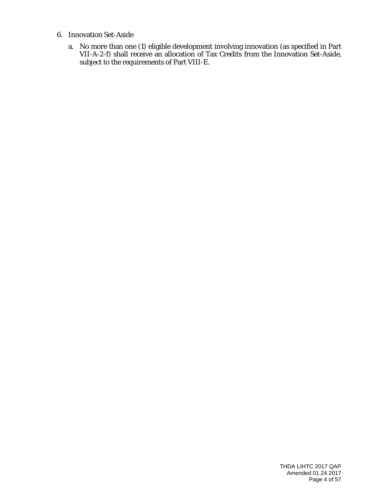- 6. Innovation Set-Aside
	- a. No more than one (1) eligible development involving innovation (as specified in Part VII-A-2-f) shall receive an allocation of Tax Credits from the Innovation Set-Aside, subject to the requirements of Part VIII-E.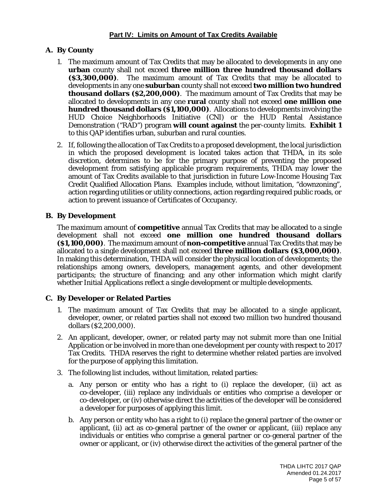# **A. By County**

- 1. The maximum amount of Tax Credits that may be allocated to developments in any one **urban** county shall not exceed **three million three hundred thousand dollars (\$3,300,000)**. The maximum amount of Tax Credits that may be allocated to developments in any one **suburban** county shall not exceed **two million two hundred thousand dollars (\$2,200,000)**. The maximum amount of Tax Credits that may be allocated to developments in any one **rural** county shall not exceed **one million one hundred thousand dollars (\$1,100,000)**. Allocations to developments involving the HUD Choice Neighborhoods Initiative (CNI) or the HUD Rental Assistance Demonstration ("RAD") program **will count against** the per-county limits. **Exhibit 1** to this QAP identifies urban, suburban and rural counties.
- 2. If, following the allocation of Tax Credits to a proposed development, the local jurisdiction in which the proposed development is located takes action that THDA, in its sole discretion, determines to be for the primary purpose of preventing the proposed development from satisfying applicable program requirements, THDA may lower the amount of Tax Credits available to that jurisdiction in future Low-Income Housing Tax Credit Qualified Allocation Plans. Examples include, without limitation, "downzoning", action regarding utilities or utility connections, action regarding required public roads, or action to prevent issuance of Certificates of Occupancy.

# **B. By Development**

The maximum amount of **competitive** annual Tax Credits that may be allocated to a single development shall not exceed **one million one hundred thousand dollars (\$1,100,000)**. The maximum amount of **non-competitive** annual Tax Credits that may be allocated to a single development shall not exceed **three million dollars (\$3,000,000)**. In making this determination, THDA will consider the physical location of developments; the relationships among owners, developers, management agents, and other development participants; the structure of financing; and any other information which might clarify whether Initial Applications reflect a single development or multiple developments.

# **C. By Developer or Related Parties**

- 1. The maximum amount of Tax Credits that may be allocated to a single applicant, developer, owner, or related parties shall not exceed two million two hundred thousand dollars (\$2,200,000).
- 2. An applicant, developer, owner, or related party may not submit more than one Initial Application or be involved in more than one development per county with respect to 2017 Tax Credits. THDA reserves the right to determine whether related parties are involved for the purpose of applying this limitation.
- 3. The following list includes, without limitation, related parties:
	- a. Any person or entity who has a right to (i) replace the developer, (ii) act as co-developer, (iii) replace any individuals or entities who comprise a developer or co-developer, or (iv) otherwise direct the activities of the developer will be considered a developer for purposes of applying this limit.
	- b. Any person or entity who has a right to (i) replace the general partner of the owner or applicant, (ii) act as co-general partner of the owner or applicant, (iii) replace any individuals or entities who comprise a general partner or co-general partner of the owner or applicant, or (iv) otherwise direct the activities of the general partner of the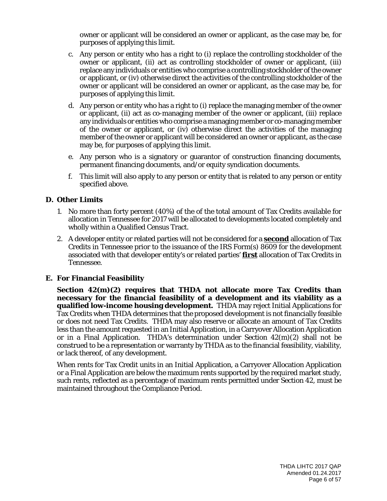owner or applicant will be considered an owner or applicant, as the case may be, for purposes of applying this limit.

- c. Any person or entity who has a right to (i) replace the controlling stockholder of the owner or applicant, (ii) act as controlling stockholder of owner or applicant, (iii) replace any individuals or entities who comprise a controlling stockholder of the owner or applicant, or (iv) otherwise direct the activities of the controlling stockholder of the owner or applicant will be considered an owner or applicant, as the case may be, for purposes of applying this limit.
- d. Any person or entity who has a right to (i) replace the managing member of the owner or applicant, (ii) act as co-managing member of the owner or applicant, (iii) replace any individuals or entities who comprise a managing member or co-managing member of the owner or applicant, or (iv) otherwise direct the activities of the managing member of the owner or applicant will be considered an owner or applicant, as the case may be, for purposes of applying this limit.
- e. Any person who is a signatory or guarantor of construction financing documents, permanent financing documents, and/or equity syndication documents.
- f. This limit will also apply to any person or entity that is related to any person or entity specified above.

#### **D. Other Limits**

- 1. No more than forty percent (40%) of the of the total amount of Tax Credits available for allocation in Tennessee for 2017 will be allocated to developments located completely and wholly within a Qualified Census Tract.
- 2. A developer entity or related parties will not be considered for a **second** allocation of Tax Credits in Tennessee prior to the issuance of the IRS Form(s) 8609 for the development associated with that developer entity's or related parties' **first** allocation of Tax Credits in Tennessee.

#### **E. For Financial Feasibility**

**Section 42(m)(2) requires that THDA not allocate more Tax Credits than necessary for the financial feasibility of a development and its viability as a qualified low-income housing development.** THDA may reject Initial Applications for Tax Credits when THDA determines that the proposed development is not financially feasible or does not need Tax Credits. THDA may also reserve or allocate an amount of Tax Credits less than the amount requested in an Initial Application, in a Carryover Allocation Application or in a Final Application. THDA's determination under Section 42(m)(2) shall not be construed to be a representation or warranty by THDA as to the financial feasibility, viability, or lack thereof, of any development.

When rents for Tax Credit units in an Initial Application, a Carryover Allocation Application or a Final Application are below the maximum rents supported by the required market study, such rents, reflected as a percentage of maximum rents permitted under Section 42, must be maintained throughout the Compliance Period.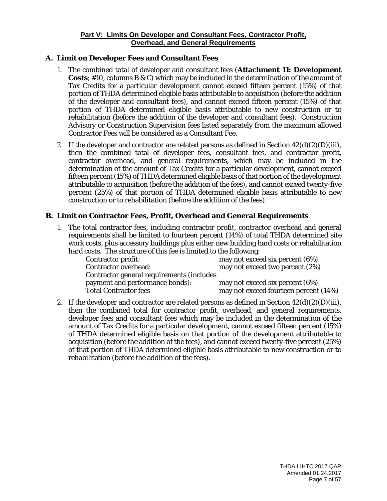#### **Part V: Limits On Developer and Consultant Fees, Contractor Profit, Overhead, and General Requirements**

# **A. Limit on Developer Fees and Consultant Fees**

- 1. The combined total of developer and consultant fees (**Attachment 11: Development Costs**; #10, columns B & C) which may be included in the determination of the amount of Tax Credits for a particular development cannot exceed fifteen percent (15%) of that portion of THDA determined eligible basis attributable to acquisition (before the addition of the developer and consultant fees), and cannot exceed fifteen percent (15%) of that portion of THDA determined eligible basis attributable to new construction or to rehabilitation (before the addition of the developer and consultant fees). Construction Advisory or Construction Supervision fees listed separately from the maximum allowed Contractor Fees will be considered as a Consultant Fee.
- 2. If the developer and contractor are related persons as defined in Section  $42(d)(2)(D)(iii)$ , then the combined total of developer fees, consultant fees, and contractor profit, contractor overhead, and general requirements, which may be included in the determination of the amount of Tax Credits for a particular development, cannot exceed fifteen percent (15%) of THDA determined eligible basis of that portion of the development attributable to acquisition (before the addition of the fees), and cannot exceed twenty-five percent (25%) of that portion of THDA determined eligible basis attributable to new construction or to rehabilitation (before the addition of the fees).

# **B. Limit on Contractor Fees, Profit, Overhead and General Requirements**

1. The total contractor fees, including contractor profit, contractor overhead and general requirements shall be limited to fourteen percent (14%) of total THDA determined site work costs, plus accessory buildings plus either new building hard costs or rehabilitation hard costs. The structure of this fee is limited to the following:

| <b>Contractor profit:</b>                 | may not exceed six percent (6%)       |
|-------------------------------------------|---------------------------------------|
| <b>Contractor overhead:</b>               | may not exceed two percent (2%)       |
| Contractor general requirements (includes |                                       |
| payment and performance bonds):           | may not exceed six percent (6%)       |
| <b>Total Contractor fees</b>              | may not exceed fourteen percent (14%) |

2. If the developer and contractor are related persons as defined in Section  $42(d)(2)(D)(iii)$ , then the combined total for contractor profit, overhead, and general requirements, developer fees and consultant fees which may be included in the determination of the amount of Tax Credits for a particular development, cannot exceed fifteen percent (15%) of THDA determined eligible basis on that portion of the development attributable to acquisition (before the addition of the fees), and cannot exceed twenty-five percent (25%) of that portion of THDA determined eligible basis attributable to new construction or to rehabilitation (before the addition of the fees).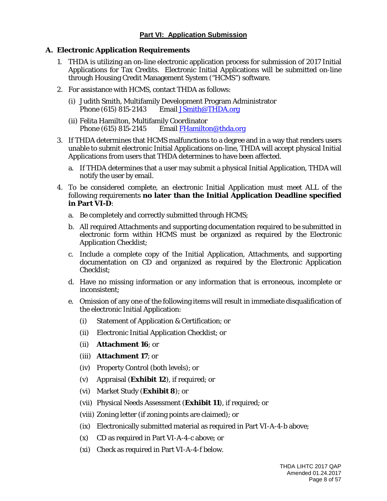# **A. Electronic Application Requirements**

- 1. THDA is utilizing an on-line electronic application process for submission of 2017 Initial Applications for Tax Credits. Electronic Initial Applications will be submitted on-line through Housing Credit Management System ("HCMS") software.
- 2. For assistance with HCMS, contact THDA as follows:
	- (i) Judith Smith, Multifamily Development Program Administrator<br>Phone (615) 815-2143 Email JSmith@THDA.org Email [JSmith@THDA.org](mailto:JSmith@THDA.org)
	- (ii) Felita Hamilton, Multifamily Coordinator Phone (615) 815-2145 Email [FHamilton@thda.org](mailto:FHamilton@thda.org)
- 3. If THDA determines that HCMS malfunctions to a degree and in a way that renders users unable to submit electronic Initial Applications on-line, THDA will accept physical Initial Applications from users that THDA determines to have been affected.
	- a. If THDA determines that a user may submit a physical Initial Application, THDA will notify the user by email.
- 4. To be considered complete, an electronic Initial Application must meet ALL of the following requirements **no later than the Initial Application Deadline specified in Part VI-D**:
	- a. Be completely and correctly submitted through HCMS;
	- b. All required Attachments and supporting documentation required to be submitted in electronic form within HCMS must be organized as required by the Electronic Application Checklist;
	- c. Include a complete copy of the Initial Application, Attachments, and supporting documentation on CD and organized as required by the Electronic Application Checklist;
	- d. Have no missing information or any information that is erroneous, incomplete or inconsistent;
	- e. Omission of any one of the following items will result in immediate disqualification of the electronic Initial Application:
		- (i) Statement of Application & Certification; or
		- (ii) Electronic Initial Application Checklist; or
		- (ii) **Attachment 16**; or
		- (iii) **Attachment 17**; or
		- (iv) Property Control (both levels); or
		- (v) Appraisal (**Exhibit 12**), if required; or
		- (vi) Market Study (**Exhibit 8**); or
		- (vii) Physical Needs Assessment (**Exhibit 11**), if required; or
		- (viii) Zoning letter (if zoning points are claimed); or
		- (ix) Electronically submitted material as required in Part VI-A-4-b above;
		- (x) CD as required in Part VI-A-4-c above; or
		- (xi) Check as required in Part VI-A-4-f below.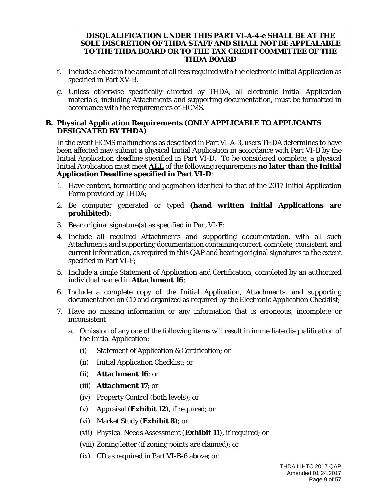#### **DISQUALIFICATION UNDER THIS PART VI-A-4-e SHALL BE AT THE SOLE DISCRETION OF THDA STAFF AND SHALL NOT BE APPEALABLE TO THE THDA BOARD OR TO THE TAX CREDIT COMMITTEE OF THE THDA BOARD**

- f. Include a check in the amount of all fees required with the electronic Initial Application as specified in Part XV-B.
- g. Unless otherwise specifically directed by THDA, all electronic Initial Application materials, including Attachments and supporting documentation, must be formatted in accordance with the requirements of HCMS.

# **B. Physical Application Requirements** *(ONLY APPLICABLE TO APPLICANTS DESIGNATED BY THDA)*

In the event HCMS malfunctions as described in Part VI-A-3, users THDA determines to have been affected may submit a physical Initial Application in accordance with Part VI-B by the Initial Application deadline specified in Part VI-D. To be considered complete, a physical Initial Application must meet **ALL** of the following requirements **no later than the Initial Application Deadline specified in Part VI-D**:

- 1. Have content, formatting and pagination identical to that of the 2017 Initial Application Form provided by THDA;
- 2. Be computer generated or typed **(hand written Initial Applications are prohibited)**;
- 3. Bear original signature(s) as specified in Part VI-F;
- 4. Include all required Attachments and supporting documentation, with all such Attachments and supporting documentation containing correct, complete, consistent, and current information, as required in this QAP and bearing original signatures to the extent specified in Part VI-F;
- 5. Include a single Statement of Application and Certification, completed by an authorized individual named in **Attachment 16**;
- 6. Include a complete copy of the Initial Application, Attachments, and supporting documentation on CD and organized as required by the Electronic Application Checklist;
- 7. Have no missing information or any information that is erroneous, incomplete or inconsistent
	- a. Omission of any one of the following items will result in immediate disqualification of the Initial Application:
		- (i) Statement of Application & Certification; or
		- (ii) Initial Application Checklist; or
		- (ii) **Attachment 16**; or
		- (iii) **Attachment 17**; or
		- (iv) Property Control (both levels); or
		- (v) Appraisal (**Exhibit 12**), if required; or
		- (vi) Market Study (**Exhibit 8**); or
		- (vii) Physical Needs Assessment (**Exhibit 11**), if required; or
		- (viii) Zoning letter (if zoning points are claimed); or
		- (ix) CD as required in Part VI-B-6 above; or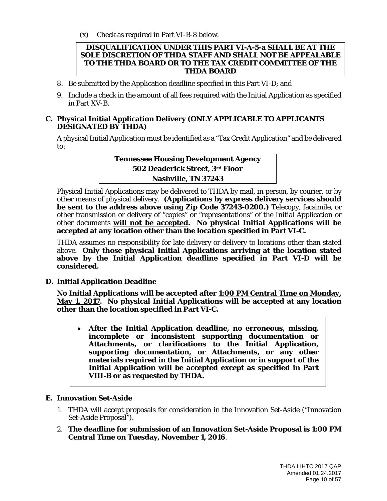(x) Check as required in Part VI-B-8 below.

#### **DISQUALIFICATION UNDER THIS PART VI-A-5-a SHALL BE AT THE SOLE DISCRETION OF THDA STAFF AND SHALL NOT BE APPEALABLE TO THE THDA BOARD OR TO THE TAX CREDIT COMMITTEE OF THE THDA BOARD**

- 8. Be submitted by the Application deadline specified in this Part VI-D; and
- 9. Include a check in the amount of all fees required with the Initial Application as specified in Part XV-B.

### **C. Physical Initial Application Delivery** *(ONLY APPLICABLE TO APPLICANTS DESIGNATED BY THDA)*

A physical Initial Application must be identified as a "Tax Credit Application" and be delivered to:

> **Tennessee Housing Development Agency 502 Deaderick Street, 3rd Floor Nashville, TN 37243**

Physical Initial Applications may be delivered to THDA by mail, in person, by courier, or by other means of physical delivery. **(Applications by express delivery services should be sent to the address above using Zip Code 37243-0200.)** Telecopy, facsimile, or other transmission or delivery of "copies" or "representations" of the Initial Application or other documents **will not be accepted. No physical Initial Applications will be accepted at any location other than the location specified in Part VI-C.**

THDA assumes no responsibility for late delivery or delivery to locations other than stated above. **Only those physical Initial Applications arriving at the location stated above by the Initial Application deadline specified in Part VI-D will be considered.**

# **D. Initial Application Deadline**

**No Initial Applications will be accepted after 1:00 PM Central Time on Monday, May 1, 2017. No physical Initial Applications will be accepted at any location other than the location specified in Part VI-C.**

• **After the Initial Application deadline, no erroneous, missing, incomplete or inconsistent supporting documentation or Attachments, or clarifications to the Initial Application, supporting documentation, or Attachments, or any other materials required in the Initial Application or in support of the Initial Application will be accepted except as specified in Part VIII-B or as requested by THDA.**

#### **E. Innovation Set-Aside**

- 1. THDA will accept proposals for consideration in the Innovation Set-Aside ("Innovation Set-Aside Proposal").
- 2. **The deadline for submission of an Innovation Set-Aside Proposal is 1:00 PM Central Time on Tuesday, November 1, 2016**.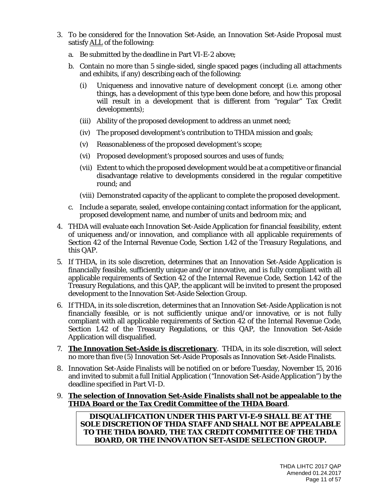- 3. To be considered for the Innovation Set-Aside, an Innovation Set-Aside Proposal must satisfy ALL of the following:
	- a. Be submitted by the deadline in Part VI-E-2 above;
	- b. Contain no more than 5 single-sided, single spaced pages (including all attachments and exhibits, if any) describing each of the following:
		- (i) Uniqueness and innovative nature of development concept (i.e. among other things, has a development of this type been done before, and how this proposal will result in a development that is different from "regular" Tax Credit developments);
		- (iii) Ability of the proposed development to address an unmet need;
		- (iv) The proposed development's contribution to THDA mission and goals;
		- (v) Reasonableness of the proposed development's scope;
		- (vi) Proposed development's proposed sources and uses of funds;
		- (vii) Extent to which the proposed development would be at a competitive or financial disadvantage relative to developments considered in the regular competitive round; and

(viii) Demonstrated capacity of the applicant to complete the proposed development.

- c. Include a separate, sealed, envelope containing contact information for the applicant, proposed development name, and number of units and bedroom mix; and
- 4. THDA will evaluate each Innovation Set-Aside Application for financial feasibility, extent of uniqueness and/or innovation, and compliance with all applicable requirements of Section 42 of the Internal Revenue Code, Section 1.42 of the Treasury Regulations, and this QAP.
- 5. If THDA, in its sole discretion, determines that an Innovation Set-Aside Application is financially feasible, sufficiently unique and/or innovative, and is fully compliant with all applicable requirements of Section 42 of the Internal Revenue Code, Section 1.42 of the Treasury Regulations, and this QAP, the applicant will be invited to present the proposed development to the Innovation Set-Aside Selection Group.
- 6. If THDA, in its sole discretion, determines that an Innovation Set-Aside Application is not financially feasible, or is not sufficiently unique and/or innovative, or is not fully compliant with all applicable requirements of Section 42 of the Internal Revenue Code, Section 1.42 of the Treasury Regulations, or this QAP, the Innovation Set-Aside Application will disqualified.
- 7. **The Innovation Set-Aside is discretionary**. THDA, in its sole discretion, will select no more than five (5) Innovation Set-Aside Proposals as Innovation Set-Aside Finalists.
- 8. Innovation Set-Aside Finalists will be notified on or before Tuesday, November 15, 2016 and invited to submit a full Initial Application ("Innovation Set-Aside Application") by the deadline specified in Part VI-D.

#### 9. **The selection of Innovation Set-Aside Finalists shall not be appealable to the THDA Board or the Tax Credit Committee of the THDA Board**.

**DISQUALIFICATION UNDER THIS PART VI-E-9 SHALL BE AT THE SOLE DISCRETION OF THDA STAFF AND SHALL NOT BE APPEALABLE TO THE THDA BOARD, THE TAX CREDIT COMMITTEE OF THE THDA BOARD, OR THE INNOVATION SET-ASIDE SELECTION GROUP.**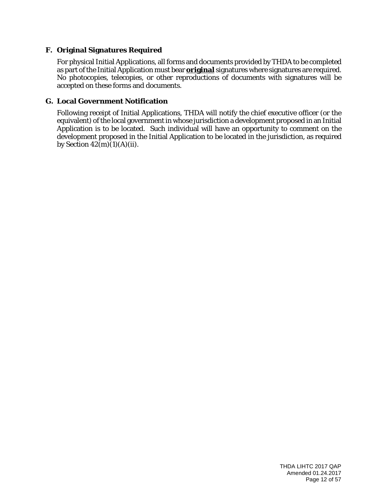# **F. Original Signatures Required**

For physical Initial Applications, all forms and documents provided by THDA to be completed as part of the Initial Application must bear **original** signatures where signatures are required. No photocopies, telecopies, or other reproductions of documents with signatures will be accepted on these forms and documents.

# **G. Local Government Notification**

Following receipt of Initial Applications, THDA will notify the chief executive officer (or the equivalent) of the local government in whose jurisdiction a development proposed in an Initial Application is to be located. Such individual will have an opportunity to comment on the development proposed in the Initial Application to be located in the jurisdiction, as required by Section  $42(m)(1)(A)(ii)$ .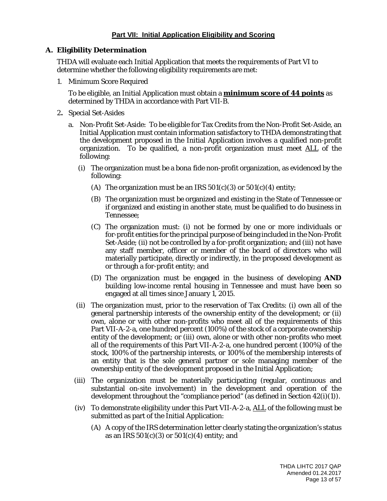### **Part VII: Initial Application Eligibility and Scoring**

#### **A. Eligibility Determination**

THDA will evaluate each Initial Application that meets the requirements of Part VI to determine whether the following eligibility requirements are met:

1. Minimum Score Required

To be eligible, an Initial Application must obtain a **minimum score of 44 points** as determined by THDA in accordance with Part VII-B.

- 2**.** Special Set-Asides
	- a. Non-Profit Set-Aside: To be eligible for Tax Credits from the Non-Profit Set-Aside, an Initial Application must contain information satisfactory to THDA demonstrating that the development proposed in the Initial Application involves a qualified non-profit organization. To be qualified, a non-profit organization must meet ALL of the following:
		- (i) The organization must be a *bona fide* non-profit organization, as evidenced by the following:
			- (A) The organization must be an IRS  $501(c)(3)$  or  $501(c)(4)$  entity;
			- (B) The organization must be organized and existing in the State of Tennessee or if organized and existing in another state, must be qualified to do business in Tennessee;
			- (C) The organization must: (i) not be formed by one or more individuals or for-profit entities for the principal purpose of being included in the Non-Profit Set-Aside; (ii) not be controlled by a for-profit organization; and (iii) not have any staff member, officer or member of the board of directors who will materially participate, directly or indirectly, in the proposed development as or through a for-profit entity; and
			- (D) The organization must be engaged in the business of developing **AND** building low-income rental housing in Tennessee and must have been so engaged at all times since January 1, 2015.
		- (ii) The organization must, prior to the reservation of Tax Credits: (i) own all of the general partnership interests of the ownership entity of the development; or (ii) own, alone or with other non-profits who meet all of the requirements of this Part VII-A-2-a, one hundred percent (100%) of the stock of a corporate ownership entity of the development; or (iii) own, alone or with other non-profits who meet all of the requirements of this Part VII-A-2-a, one hundred percent (100%) of the stock, 100% of the partnership interests, or 100% of the membership interests of an entity that is the sole general partner or sole managing member of the ownership entity of the development proposed in the Initial Application;
		- (iii) The organization must be materially participating (regular, continuous and substantial on-site involvement) in the development and operation of the development throughout the "compliance period" (as defined in Section 42(i)(1)).
		- (iv) To demonstrate eligibility under this Part VII-A-2-a,  $\Delta L$  of the following must be submitted as part of the Initial Application:
			- (A) A copy of the IRS determination letter clearly stating the organization's status as an IRS  $501(c)(3)$  or  $501(c)(4)$  entity; and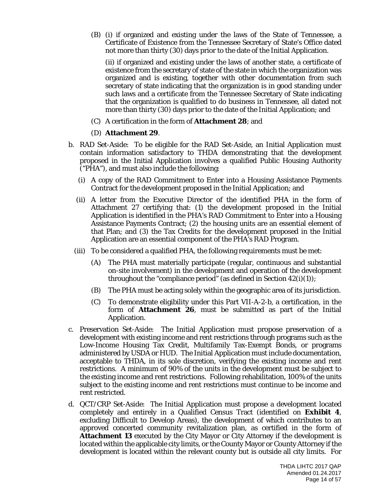(B) (i) if organized and existing under the laws of the State of Tennessee, a Certificate of Existence from the Tennessee Secretary of State's Office dated not more than thirty (30) days prior to the date of the Initial Application.

(ii) if organized and existing under the laws of another state, a certificate of existence from the secretary of state of the state in which the organization was organized and is existing, together with other documentation from such secretary of state indicating that the organization is in good standing under such laws and a certificate from the Tennessee Secretary of State indicating that the organization is qualified to do business in Tennessee, all dated not more than thirty (30) days prior to the date of the Initial Application; and

(C) A certification in the form of **Attachment 28**; and

#### (D) **Attachment 29**.

- b. RAD Set-Aside: To be eligible for the RAD Set-Aside, an Initial Application must contain information satisfactory to THDA demonstrating that the development proposed in the Initial Application involves a qualified Public Housing Authority ("PHA"), and must also include the following:
	- (i) A copy of the RAD Commitment to Enter into a Housing Assistance Payments Contract for the development proposed in the Initial Application; and
	- (ii) A letter from the Executive Director of the identified PHA in the form of Attachment 27 certifying that: (1) the development proposed in the Initial Application is identified in the PHA's RAD Commitment to Enter into a Housing Assistance Payments Contract; (2) the housing units are an essential element of that Plan; and (3) the Tax Credits for the development proposed in the Initial Application are an essential component of the PHA's RAD Program.
	- (iii) To be considered a qualified PHA, the following requirements must be met:
		- (A) The PHA must materially participate (regular, continuous and substantial on-site involvement) in the development and operation of the development throughout the "compliance period" (as defined in Section  $42(i)(1)$ );
		- (B) The PHA must be acting solely within the geographic area of its jurisdiction.
		- (C) To demonstrate eligibility under this Part VII-A-2-b, a certification, in the form of **Attachment 26**, must be submitted as part of the Initial Application.
- c. Preservation Set-Aside: The Initial Application must propose preservation of a development with existing income and rent restrictions through programs such as the Low-Income Housing Tax Credit, Multifamily Tax-Exempt Bonds, or programs administered by USDA or HUD. The Initial Application must include documentation, acceptable to THDA, in its sole discretion, verifying the existing income and rent restrictions. A minimum of 90% of the units in the development must be subject to the existing income and rent restrictions. Following rehabilitation, 100% of the units subject to the existing income and rent restrictions must continue to be income and rent restricted.
- d. QCT/CRP Set-Aside: The Initial Application must propose a development located completely and entirely in a Qualified Census Tract (identified on **Exhibit 4**, excluding Difficult to Develop Areas), the development of which contributes to an approved concerted community revitalization plan, as certified in the form of **Attachment 13** executed by the City Mayor or City Attorney if the development is located within the applicable city limits, or the County Mayor or County Attorney if the development is located within the relevant county but is outside all city limits. For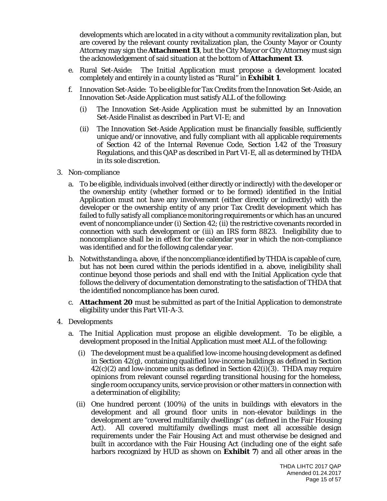developments which are located in a city without a community revitalization plan, but are covered by the relevant county revitalization plan, the County Mayor or County Attorney may sign the **Attachment 13**, but the City Mayor or City Attorney must sign the acknowledgement of said situation at the bottom of **Attachment 13**.

- e. Rural Set-Aside: The Initial Application must propose a development located completely and entirely in a county listed as "Rural" in **Exhibit 1**.
- f. Innovation Set-Aside: To be eligible for Tax Credits from the Innovation Set-Aside, an Innovation Set-Aside Application must satisfy ALL of the following:
	- (i) The Innovation Set-Aside Application must be submitted by an Innovation Set-Aside Finalist as described in Part VI-E; and
	- (ii) The Innovation Set-Aside Application must be financially feasible, sufficiently unique and/or innovative, and fully compliant with all applicable requirements of Section 42 of the Internal Revenue Code, Section 1.42 of the Treasury Regulations, and this QAP as described in Part VI-E, all as determined by THDA in its sole discretion.
- 3. Non-compliance
	- a. To be eligible, individuals involved (either directly or indirectly) with the developer or the ownership entity (whether formed or to be formed) identified in the Initial Application must not have any involvement (either directly or indirectly) with the developer or the ownership entity of any prior Tax Credit development which has failed to fully satisfy all compliance monitoring requirements or which has an uncured event of noncompliance under (i) Section 42; (ii) the restrictive covenants recorded in connection with such development or (iii) an IRS form 8823. Ineligibility due to noncompliance shall be in effect for the calendar year in which the non-compliance was identified and for the following calendar year.
	- b. Notwithstanding a. above, if the noncompliance identified by THDA is capable of cure, but has not been cured within the periods identified in a. above, ineligibility shall continue beyond those periods and shall end with the Initial Application cycle that follows the delivery of documentation demonstrating to the satisfaction of THDA that the identified noncompliance has been cured.
	- c. **Attachment 20** must be submitted as part of the Initial Application to demonstrate eligibility under this Part VII-A-3.
- 4. Developments
	- a. The Initial Application must propose an eligible development. To be eligible, a development proposed in the Initial Application must meet ALL of the following:
		- (i) The development must be a qualified low-income housing development as defined in Section 42(g), containing qualified low-income buildings as defined in Section  $42(c)(2)$  and low-income units as defined in Section  $42(i)(3)$ . THDA may require opinions from relevant counsel regarding transitional housing for the homeless, single room occupancy units, service provision or other matters in connection with a determination of eligibility;
		- (ii) One hundred percent (100%) of the units in buildings with elevators in the development and all ground floor units in non-elevator buildings in the development are "covered multifamily dwellings" (as defined in the Fair Housing Act). All covered multifamily dwellings must meet all accessible design requirements under the Fair Housing Act and must otherwise be designed and built in accordance with the Fair Housing Act (including one of the eight safe harbors recognized by HUD as shown on **Exhibit 7**) and all other areas in the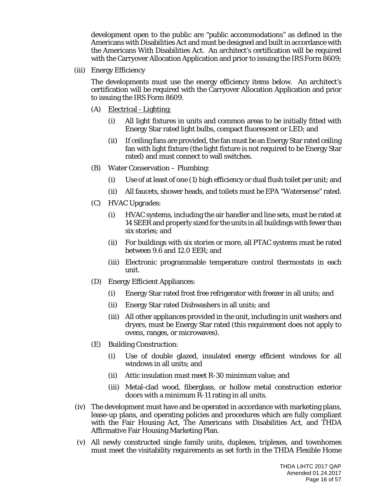development open to the public are "public accommodations" as defined in the Americans with Disabilities Act and must be designed and built in accordance with the Americans With Disabilities Act. An architect's certification will be required with the Carryover Allocation Application and prior to issuing the IRS Form 8609;

(iii) Energy Efficiency

The developments must use the energy efficiency items below. An architect's certification will be required with the Carryover Allocation Application and prior to issuing the IRS Form 8609.

- (A) Electrical Lighting:
	- (i) All light fixtures in units and common areas to be initially fitted with Energy Star rated light bulbs, compact fluorescent or LED; and
	- (ii) If ceiling fans are provided, the fan must be an Energy Star rated ceiling fan with light fixture (the light fixture is not required to be Energy Star rated) and must connect to wall switches.
- (B) Water Conservation Plumbing:
	- (i) Use of at least of one (1) high efficiency or dual flush toilet per unit; and
	- (ii) All faucets, shower heads, and toilets must be EPA "Watersense" rated.
- (C) HVAC Upgrades:
	- (i) HVAC systems, including the air handler and line sets, must be rated at 14 SEER and properly sized for the units in all buildings with fewer than six stories; and
	- (ii) For buildings with six stories or more, all PTAC systems must be rated between 9.6 and 12.0 EER; and
	- (iii) Electronic programmable temperature control thermostats in each unit.
- (D) Energy Efficient Appliances:
	- (i) Energy Star rated frost free refrigerator with freezer in all units; and
	- (ii) Energy Star rated Dishwashers in all units; and
	- (iii) All other appliances provided in the unit, including in unit washers and dryers, must be Energy Star rated (this requirement does not apply to ovens, ranges, or microwaves).
- (E) Building Construction:
	- (i) Use of double glazed, insulated energy efficient windows for all windows in all units; and
	- (ii) Attic insulation must meet R-30 minimum value; and
	- (iii) Metal-clad wood, fiberglass, or hollow metal construction exterior doors with a minimum R-11 rating in all units.
- (iv) The development must have and be operated in accordance with marketing plans, lease-up plans, and operating policies and procedures which are fully compliant with the Fair Housing Act, The Americans with Disabilities Act, and THDA Affirmative Fair Housing Marketing Plan.
- (v) All newly constructed single family units, duplexes, triplexes, and townhomes must meet the visitability requirements as set forth in the THDA Flexible Home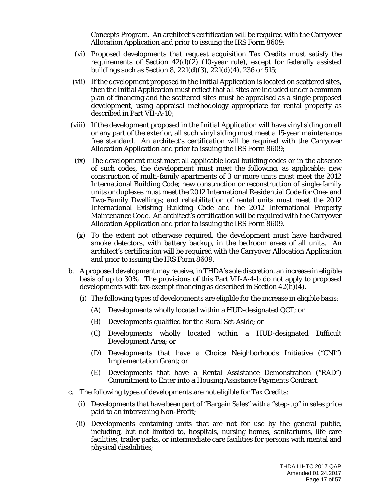Concepts Program. An architect's certification will be required with the Carryover Allocation Application and prior to issuing the IRS Form 8609;

- (vi) Proposed developments that request acquisition Tax Credits must satisfy the requirements of Section  $42(d)(2)$  (10-year rule), except for federally assisted buildings such as Section 8, 221(d)(3), 221(d)(4), 236 or 515;
- (vii) If the development proposed in the Initial Application is located on scattered sites, then the Initial Application must reflect that all sites are included under a common plan of financing and the scattered sites must be appraised as a single proposed development, using appraisal methodology appropriate for rental property as described in Part VII-A-10;
- (viii) If the development proposed in the Initial Application will have vinyl siding on all or any part of the exterior, all such vinyl siding must meet a 15-year maintenance free standard. An architect's certification will be required with the Carryover Allocation Application and prior to issuing the IRS Form 8609;
- (ix) The development must meet all applicable local building codes or in the absence of such codes, the development must meet the following, as applicable: new construction of multi-family apartments of 3 or more units must meet the 2012 International Building Code; new construction or reconstruction of single-family units or duplexes must meet the 2012 International Residential Code for One- and Two-Family Dwellings; and rehabilitation of rental units must meet the 2012 International Existing Building Code and the 2012 International Property Maintenance Code. An architect's certification will be required with the Carryover Allocation Application and prior to issuing the IRS Form 8609.
- (x) To the extent not otherwise required, the development must have hardwired smoke detectors, with battery backup, in the bedroom areas of all units. An architect's certification will be required with the Carryover Allocation Application and prior to issuing the IRS Form 8609.
- b. A proposed development may receive, in THDA's sole discretion, an increase in eligible basis of up to 30%. The provisions of this Part VII-A-4-b do not apply to proposed developments with tax-exempt financing as described in Section 42(h)(4).
	- (i) The following types of developments are eligible for the increase in eligible basis:
		- (A) Developments wholly located within a HUD-designated QCT; or
		- (B) Developments qualified for the Rural Set-Aside; or
		- (C) Developments wholly located within a HUD-designated Difficult Development Area; or
		- (D) Developments that have a Choice Neighborhoods Initiative ("CNI") Implementation Grant; or
		- (E) Developments that have a Rental Assistance Demonstration ("RAD") Commitment to Enter into a Housing Assistance Payments Contract.
- c. The following types of developments are not eligible for Tax Credits:
	- (i) Developments that have been part of "Bargain Sales" with a "step-up" in sales price paid to an intervening Non-Profit;
	- (ii) Developments containing units that are not for use by the general public, including, but not limited to, hospitals, nursing homes, sanitariums, life care facilities, trailer parks, or intermediate care facilities for persons with mental and physical disabilities;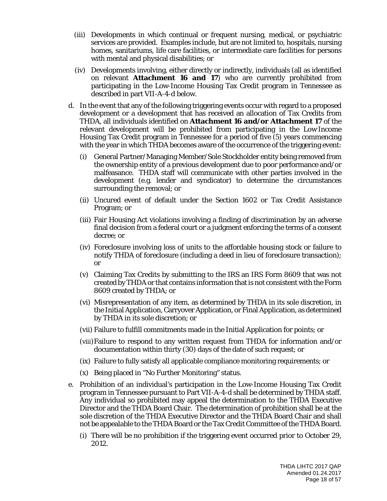- (iii) Developments in which continual or frequent nursing, medical, or psychiatric services are provided. Examples include, but are not limited to, hospitals, nursing homes, sanitariums, life care facilities, or intermediate care facilities for persons with mental and physical disabilities; or
- (iv) Developments involving, either directly or indirectly, individuals (all as identified on relevant **Attachment 16 and 17**) who are currently prohibited from participating in the Low-Income Housing Tax Credit program in Tennessee as described in part VII-A-4-d below.
- d. In the event that any of the following triggering events occur with regard to a proposed development or a development that has received an allocation of Tax Credits from THDA, all individuals identified on **Attachment 16 and/or Attachment 17** of the relevant development will be prohibited from participating in the Low-Income Housing Tax Credit program in Tennessee for a period of five (5) years commencing with the year in which THDA becomes aware of the occurrence of the triggering event:
	- (i) General Partner/Managing Member/Sole Stockholder entity being removed from the ownership entity of a previous development due to poor performance and/or malfeasance. THDA staff will communicate with other parties involved in the development (e.g. lender and syndicator) to determine the circumstances surrounding the removal; or
	- (ii) Uncured event of default under the Section 1602 or Tax Credit Assistance Program; or
	- (iii) Fair Housing Act violations involving a finding of discrimination by an adverse final decision from a federal court or a judgment enforcing the terms of a consent decree; or
	- (iv) Foreclosure involving loss of units to the affordable housing stock or failure to notify THDA of foreclosure (including a deed in lieu of foreclosure transaction); or
	- (v) Claiming Tax Credits by submitting to the IRS an IRS Form 8609 that was not created by THDA or that contains information that is not consistent with the Form 8609 created by THDA; or
	- (vi) Misrepresentation of any item, as determined by THDA in its sole discretion, in the Initial Application, Carryover Application, or Final Application, as determined by THDA in its sole discretion; or
	- (vii) Failure to fulfill commitments made in the Initial Application for points; or
	- (viii)Failure to respond to any written request from THDA for information and/or documentation within thirty (30) days of the date of such request; or
	- (ix) Failure to fully satisfy all applicable compliance monitoring requirements; or
	- (x) Being placed in "No Further Monitoring" status.
- e. Prohibition of an individual's participation in the Low-Income Housing Tax Credit program in Tennessee pursuant to Part VII-A-4-d shall be determined by THDA staff. Any individual so prohibited may appeal the determination to the THDA Executive Director and the THDA Board Chair. The determination of prohibition shall be at the sole discretion of the THDA Executive Director and the THDA Board Chair and shall not be appealable to the THDA Board or the Tax Credit Committee of the THDA Board.
	- (i) There will be no prohibition if the triggering event occurred prior to October 29, 2012.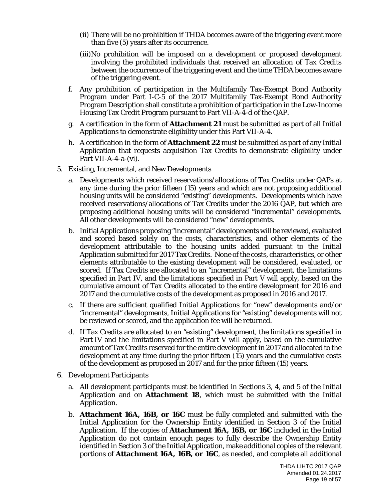- (ii) There will be no prohibition if THDA becomes aware of the triggering event more than five (5) years after its occurrence.
- (iii)No prohibition will be imposed on a development or proposed development involving the prohibited individuals that received an allocation of Tax Credits between the occurrence of the triggering event and the time THDA becomes aware of the triggering event.
- f. Any prohibition of participation in the Multifamily Tax-Exempt Bond Authority Program under Part I-C-5 of the 2017 Multifamily Tax-Exempt Bond Authority Program Description shall constitute a prohibition of participation in the Low-Income Housing Tax Credit Program pursuant to Part VII-A-4-d of the QAP.
- g. A certification in the form of **Attachment 21** must be submitted as part of all Initial Applications to demonstrate eligibility under this Part VII-A-4.
- h. A certification in the form of **Attachment 22** must be submitted as part of any Initial Application that requests acquisition Tax Credits to demonstrate eligibility under Part VII-A-4-a-(vi).
- 5. Existing, Incremental, and New Developments
	- a. Developments which received reservations/allocations of Tax Credits under QAPs at any time during the prior fifteen (15) years and which are not proposing additional housing units will be considered "existing" developments. Developments which have received reservations/allocations of Tax Credits under the 2016 QAP, but which are proposing additional housing units will be considered "incremental" developments. All other developments will be considered "new" developments.
	- b. Initial Applications proposing "incremental" developments will be reviewed, evaluated and scored based solely on the costs, characteristics, and other elements of the development attributable to the housing units added pursuant to the Initial Application submitted for 2017 Tax Credits. None of the costs, characteristics, or other elements attributable to the existing development will be considered, evaluated, or scored. If Tax Credits are allocated to an "incremental" development, the limitations specified in Part IV, and the limitations specified in Part V will apply, based on the cumulative amount of Tax Credits allocated to the entire development for 2016 and 2017 and the cumulative costs of the development as proposed in 2016 and 2017.
	- c. If there are sufficient qualified Initial Applications for "new" developments and/or "incremental" developments, Initial Applications for "existing" developments will not be reviewed or scored, and the application fee will be returned.
	- d. If Tax Credits are allocated to an "existing" development, the limitations specified in Part IV and the limitations specified in Part V will apply, based on the cumulative amount of Tax Credits reserved for the entire development in 2017 and allocated to the development at any time during the prior fifteen (15) years and the cumulative costs of the development as proposed in 2017 and for the prior fifteen (15) years.
- 6. Development Participants
	- a. All development participants must be identified in Sections 3, 4, and 5 of the Initial Application and on **Attachment 18**, which must be submitted with the Initial Application.
	- b. **Attachment 16A, 16B, or 16C** must be fully completed and submitted with the Initial Application for the Ownership Entity identified in Section 3 of the Initial Application. If the copies of **Attachment 16A, 16B, or 16C** included in the Initial Application do not contain enough pages to fully describe the Ownership Entity identified in Section 3 of the Initial Application, make additional copies of the relevant portions of **Attachment 16A, 16B, or 16C**, as needed, and complete all additional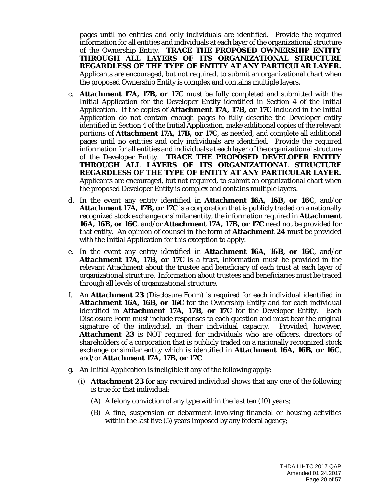pages until no entities and only individuals are identified. Provide the required information for all entities and individuals at each layer of the organizational structure of the Ownership Entity. **TRACE THE PROPOSED OWNERSHIP ENTITY THROUGH ALL LAYERS OF ITS ORGANIZATIONAL STRUCTURE REGARDLESS OF THE TYPE OF ENTITY AT ANY PARTICULAR LAYER.**  Applicants are encouraged, but not required, to submit an organizational chart when the proposed Ownership Entity is complex and contains multiple layers.

- c. **Attachment 17A, 17B, or 17C** must be fully completed and submitted with the Initial Application for the Developer Entity identified in Section 4 of the Initial Application. If the copies of **Attachment 17A, 17B, or 17C** included in the Initial Application do not contain enough pages to fully describe the Developer entity identified in Section 4 of the Initial Application, make additional copies of the relevant portions of **Attachment 17A, 17B, or 17C**, as needed, and complete all additional pages until no entities and only individuals are identified. Provide the required information for all entities and individuals at each layer of the organizational structure of the Developer Entity. **TRACE THE PROPOSED DEVELOPER ENTITY THROUGH ALL LAYERS OF ITS ORGANIZATIONAL STRUCTURE REGARDLESS OF THE TYPE OF ENTITY AT ANY PARTICULAR LAYER.**  Applicants are encouraged, but not required, to submit an organizational chart when the proposed Developer Entity is complex and contains multiple layers.
- d. In the event any entity identified in **Attachment 16A, 16B, or 16C**, and/or **Attachment 17A, 17B, or 17C** is a corporation that is publicly traded on a nationally recognized stock exchange or similar entity, the information required in **Attachment 16A, 16B, or 16C**, and/or **Attachment 17A, 17B, or 17C** need not be provided for that entity. An opinion of counsel in the form of **Attachment 24** must be provided with the Initial Application for this exception to apply.
- e. In the event any entity identified in **Attachment 16A, 16B, or 16C**, and/or **Attachment 17A, 17B, or 17C** is a trust, information must be provided in the relevant Attachment about the trustee and beneficiary of each trust at each layer of organizational structure. Information about trustees and beneficiaries must be traced through all levels of organizational structure.
- f. An **Attachment 23** (Disclosure Form) is required for each individual identified in **Attachment 16A, 16B, or 16C** for the Ownership Entity and for each individual identified in **Attachment 17A, 17B, or 17C** for the Developer Entity. Each Disclosure Form must include responses to each question and must bear the original signature of the individual, in their individual capacity. Provided, however, **Attachment 23** is NOT required for individuals who are officers, directors of shareholders of a corporation that is publicly traded on a nationally recognized stock exchange or similar entity which is identified in **Attachment 16A, 16B, or 16C**, and/or **Attachment 17A, 17B, or 17C**
- g. An Initial Application is ineligible if any of the following apply:
	- (i) **Attachment 23** for any required individual shows that any one of the following is true for that individual:
		- (A) A felony conviction of any type within the last ten (10) years;
		- (B) A fine, suspension or debarment involving financial or housing activities within the last five (5) years imposed by any federal agency;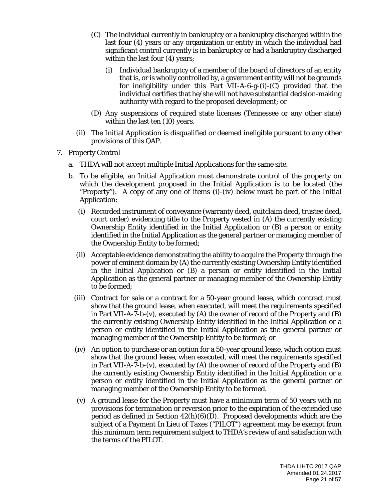- (C) The individual currently in bankruptcy or a bankruptcy discharged within the last four (4) years or any organization or entity in which the individual had significant control currently is in bankruptcy or had a bankruptcy discharged within the last four (4) years;
	- (i) Individual bankruptcy of a member of the board of directors of an entity that is, or is wholly controlled by, a government entity will not be grounds for ineligibility under this Part VII-A-6-g-(i)-(C) provided that the individual certifies that he/she will not have substantial decision-making authority with regard to the proposed development; or
- (D) Any suspensions of required state licenses (Tennessee or any other state) within the last ten (10) years.
- (ii) The Initial Application is disqualified or deemed ineligible pursuant to any other provisions of this QAP.
- 7. Property Control
	- a. THDA will not accept multiple Initial Applications for the same site.
	- b. To be eligible, an Initial Application must demonstrate control of the property on which the development proposed in the Initial Application is to be located (the "Property"). A copy of any one of items (i)-(iv) below must be part of the Initial Application:
		- (i) Recorded instrument of conveyance (warranty deed, quitclaim deed, trustee deed, court order) evidencing title to the Property vested in (A) the currently existing Ownership Entity identified in the Initial Application or (B) a person or entity identified in the Initial Application as the general partner or managing member of the Ownership Entity to be formed;
		- (ii) Acceptable evidence demonstrating the ability to acquire the Property through the power of eminent domain by (A) the currently existing Ownership Entity identified in the Initial Application or (B) a person or entity identified in the Initial Application as the general partner or managing member of the Ownership Entity to be formed;
		- (iii) Contract for sale or a contract for a 50-year ground lease, which contract must show that the ground lease, when executed, will meet the requirements specified in Part VII-A-7-b-(v), executed by (A) the owner of record of the Property and (B) the currently existing Ownership Entity identified in the Initial Application or a person or entity identified in the Initial Application as the general partner or managing member of the Ownership Entity to be formed; or
		- (iv) An option to purchase or an option for a 50-year ground lease, which option must show that the ground lease, when executed, will meet the requirements specified in Part VII-A-7-b-(v), executed by (A) the owner of record of the Property and (B) the currently existing Ownership Entity identified in the Initial Application or a person or entity identified in the Initial Application as the general partner or managing member of the Ownership Entity to be formed.
		- (v) A ground lease for the Property must have a minimum term of 50 years with no provisions for termination or reversion prior to the expiration of the extended use period as defined in Section  $42(h)(6)(D)$ . Proposed developments which are the subject of a Payment In Lieu of Taxes ("PILOT") agreement may be exempt from this minimum term requirement subject to THDA's review of and satisfaction with the terms of the PILOT.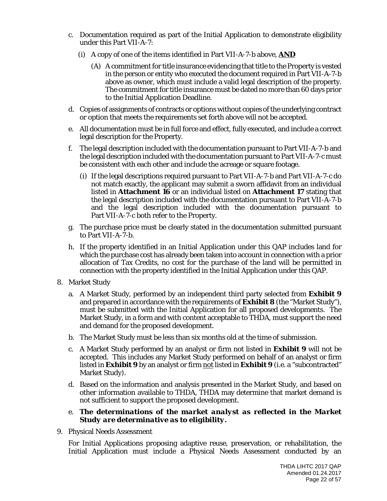- c. Documentation required as part of the Initial Application to demonstrate eligibility under this Part VII-A-7:
	- (i) A copy of one of the items identified in Part VII-A-7-b above, **AND**
		- (A) A commitment for title insurance evidencing that title to the Property is vested in the person or entity who executed the document required in Part VII-A-7-b above as owner, which must include a valid legal description of the property. The commitment for title insurance must be dated no more than 60 days prior to the Initial Application Deadline.
- d. Copies of assignments of contracts or options without copies of the underlying contract or option that meets the requirements set forth above will not be accepted.
- e. All documentation must be in full force and effect, fully executed, and include a correct legal description for the Property.
- f. The legal description included with the documentation pursuant to Part VII-A-7-b and the legal description included with the documentation pursuant to Part VII-A-7-c must be consistent with each other and include the acreage or square footage.
	- (i) If the legal descriptions required pursuant to Part VII-A-7-b and Part VII-A-7-c do not match exactly, the applicant may submit a sworn affidavit from an individual listed in **Attachment 16** or an individual listed on **Attachment 17** stating that the legal description included with the documentation pursuant to Part VII-A-7-b and the legal description included with the documentation pursuant to Part VII-A-7-c both refer to the Property.
- g. The purchase price must be clearly stated in the documentation submitted pursuant to Part VII-A-7-b.
- h. If the property identified in an Initial Application under this QAP includes land for which the purchase cost has already been taken into account in connection with a prior allocation of Tax Credits, no cost for the purchase of the land will be permitted in connection with the property identified in the Initial Application under this QAP.
- 8. Market Study
	- a. A Market Study, performed by an independent third party selected from **Exhibit 9** and prepared in accordance with the requirements of **Exhibit 8** (the "Market Study"), must be submitted with the Initial Application for all proposed developments. The Market Study, in a form and with content acceptable to THDA, must support the need and demand for the proposed development.
	- b. The Market Study must be less than six months old at the time of submission.
	- c. A Market Study performed by an analyst or firm not listed in **Exhibit 9** will not be accepted. This includes any Market Study performed on behalf of an analyst or firm listed in **Exhibit 9** by an analyst or firm not listed in **Exhibit 9** (i.e. a "subcontracted" Market Study).
	- d. Based on the information and analysis presented in the Market Study, and based on other information available to THDA, THDA may determine that market demand is not sufficient to support the proposed development.
	- e. *The determinations of the market analyst as reflected in the Market Study are determinative as to eligibility.*
- 9. Physical Needs Assessment

For Initial Applications proposing adaptive reuse, preservation, or rehabilitation, the Initial Application must include a Physical Needs Assessment conducted by an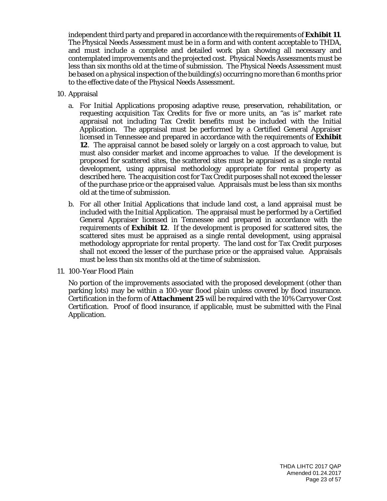independent third party and prepared in accordance with the requirements of **Exhibit 11**. The Physical Needs Assessment must be in a form and with content acceptable to THDA, and must include a complete and detailed work plan showing all necessary and contemplated improvements and the projected cost. Physical Needs Assessments must be less than six months old at the time of submission. The Physical Needs Assessment must be based on a physical inspection of the building(s) occurring no more than 6 months prior to the effective date of the Physical Needs Assessment.

- 10. Appraisal
	- a. For Initial Applications proposing adaptive reuse, preservation, rehabilitation, or requesting acquisition Tax Credits for five or more units, an "as is" market rate appraisal not including Tax Credit benefits must be included with the Initial Application. The appraisal must be performed by a Certified General Appraiser licensed in Tennessee and prepared in accordance with the requirements of **Exhibit 12**. The appraisal cannot be based solely or largely on a cost approach to value, but must also consider market and income approaches to value. If the development is proposed for scattered sites, the scattered sites must be appraised as a single rental development, using appraisal methodology appropriate for rental property as described here. The acquisition cost for Tax Credit purposes shall not exceed the lesser of the purchase price or the appraised value. Appraisals must be less than six months old at the time of submission.
	- b. For all other Initial Applications that include land cost, a land appraisal must be included with the Initial Application. The appraisal must be performed by a Certified General Appraiser licensed in Tennessee and prepared in accordance with the requirements of **Exhibit 12**. If the development is proposed for scattered sites, the scattered sites must be appraised as a single rental development, using appraisal methodology appropriate for rental property. The land cost for Tax Credit purposes shall not exceed the lesser of the purchase price or the appraised value. Appraisals must be less than six months old at the time of submission.
- 11. 100-Year Flood Plain

No portion of the improvements associated with the proposed development (other than parking lots) may be within a 100-year flood plain unless covered by flood insurance. Certification in the form of **Attachment 25** will be required with the 10% Carryover Cost Certification. Proof of flood insurance, if applicable, must be submitted with the Final Application.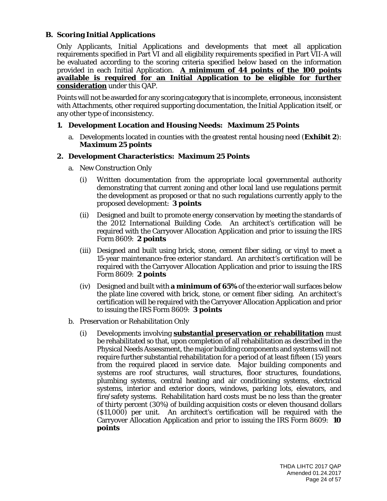# **B. Scoring Initial Applications**

Only Applicants, Initial Applications and developments that meet all application requirements specified in Part VI and all eligibility requirements specified in Part VII-A will be evaluated according to the scoring criteria specified below based on the information provided in each Initial Application. **A minimum of 44 points of the 100 points available is required for an Initial Application to be eligible for further consideration** under this QAP.

Points will not be awarded for any scoring category that is incomplete, erroneous, inconsistent with Attachments, other required supporting documentation, the Initial Application itself, or any other type of inconsistency.

#### **1. Development Location and Housing Needs: Maximum 25 Points**

a. Developments located in counties with the greatest rental housing need (**Exhibit 2**): *Maximum 25 points*

#### **2. Development Characteristics: Maximum 25 Points**

- a. New Construction Only
	- (i) Written documentation from the appropriate local governmental authority demonstrating that current zoning and other local land use regulations permit the development as proposed or that no such regulations currently apply to the proposed development: *3 points*
	- (ii) Designed and built to promote energy conservation by meeting the standards of the 2012 International Building Code. An architect's certification will be required with the Carryover Allocation Application and prior to issuing the IRS Form 8609: *2 points*
	- (iii) Designed and built using brick, stone, cement fiber siding, or vinyl to meet a 15-year maintenance-free exterior standard. An architect's certification will be required with the Carryover Allocation Application and prior to issuing the IRS Form 8609: *2 points*
	- (iv) Designed and built with **a minimum of 65%** of the exterior wall surfaces below the plate line covered with brick, stone, or cement fiber siding. An architect's certification will be required with the Carryover Allocation Application and prior to issuing the IRS Form 8609: *3 points*
- b. Preservation or Rehabilitation Only
	- (i) Developments involving **substantial preservation or rehabilitation** must be rehabilitated so that, upon completion of all rehabilitation as described in the Physical Needs Assessment, the major building components and systems will not require further substantial rehabilitation for a period of at least fifteen (15) years from the required placed in service date. Major building components and systems are roof structures, wall structures, floor structures, foundations, plumbing systems, central heating and air conditioning systems, electrical systems, interior and exterior doors, windows, parking lots, elevators, and fire/safety systems. Rehabilitation hard costs must be no less than the greater of thirty percent (30%) of building acquisition costs or eleven thousand dollars (\$11,000) per unit. An architect's certification will be required with the Carryover Allocation Application and prior to issuing the IRS Form 8609: **10 points**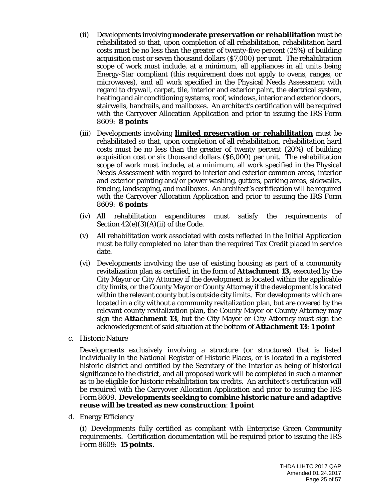- (ii) Developments involving **moderate preservation or rehabilitation** must be rehabilitated so that, upon completion of all rehabilitation, rehabilitation hard costs must be no less than the greater of twenty-five percent (25%) of building acquisition cost or seven thousand dollars (\$7,000) per unit. The rehabilitation scope of work must include, at a minimum, all appliances in all units being Energy-Star compliant (this requirement does not apply to ovens, ranges, or microwaves), and all work specified in the Physical Needs Assessment with regard to drywall, carpet, tile, interior and exterior paint, the electrical system, heating and air conditioning systems, roof, windows, interior and exterior doors, stairwells, handrails, and mailboxes. An architect's certification will be required with the Carryover Allocation Application and prior to issuing the IRS Form 8609: **8 points**
- (iii) Developments involving **limited preservation or rehabilitation** must be rehabilitated so that, upon completion of all rehabilitation, rehabilitation hard costs must be no less than the greater of twenty percent (20%) of building acquisition cost or six thousand dollars (\$6,000) per unit. The rehabilitation scope of work must include, at a minimum, all work specified in the Physical Needs Assessment with regard to interior and exterior common areas, interior and exterior painting and/or power washing, gutters, parking areas, sidewalks, fencing, landscaping, and mailboxes. An architect's certification will be required with the Carryover Allocation Application and prior to issuing the IRS Form 8609: **6 points**
- (iv) All rehabilitation expenditures must satisfy the requirements of Section  $42(e)(3)(A)(ii)$  of the Code.
- (v) All rehabilitation work associated with costs reflected in the Initial Application must be fully completed no later than the required Tax Credit placed in service date.
- (vi) Developments involving the use of existing housing as part of a community revitalization plan as certified, in the form of **Attachment 13,** executed by the City Mayor or City Attorney if the development is located within the applicable city limits, or the County Mayor or County Attorney if the development is located within the relevant county but is outside city limits. For developments which are located in a city without a community revitalization plan, but are covered by the relevant county revitalization plan, the County Mayor or County Attorney may sign the **Attachment 13**, but the City Mayor or City Attorney must sign the acknowledgement of said situation at the bottom of **Attachment 13**: *1 point*
- c. Historic Nature

Developments exclusively involving a structure (or structures) that is listed individually in the National Register of Historic Places, or is located in a registered historic district and certified by the Secretary of the Interior as being of historical significance to the district, and all proposed work will be completed in such a manner as to be eligible for historic rehabilitation tax credits. An architect's certification will be required with the Carryover Allocation Application and prior to issuing the IRS Form 8609. **Developments seeking to combine historic nature and adaptive reuse will be treated as new construction**: *1 point*

d. Energy Efficiency

(i) Developments fully certified as compliant with Enterprise Green Community requirements. Certification documentation will be required prior to issuing the IRS Form 8609: *15 points*.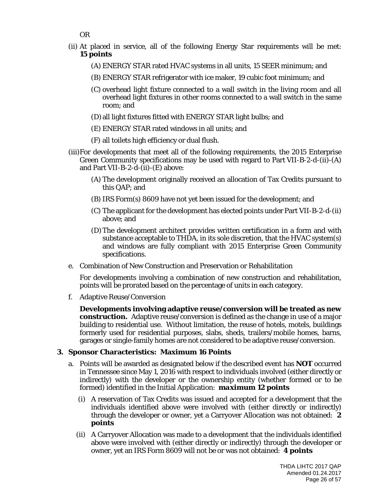- OR
- (ii) At placed in service, all of the following Energy Star requirements will be met: *15 points*
	- (A) ENERGY STAR rated HVAC systems in all units, 15 SEER minimum; and
	- (B) ENERGY STAR refrigerator with ice maker, 19 cubic foot minimum; and
	- (C) overhead light fixture connected to a wall switch in the living room and all overhead light fixtures in other rooms connected to a wall switch in the same room; and
	- (D) all light fixtures fitted with ENERGY STAR light bulbs; and
	- (E) ENERGY STAR rated windows in all units; and
	- (F) all toilets high efficiency or dual flush.
- (iii)For developments that meet all of the following requirements, the 2015 Enterprise Green Community specifications may be used with regard to Part VII-B-2-d-(ii)-(A) and Part VII-B-2-d-(ii)-(E) above:
	- (A) The development originally received an allocation of Tax Credits pursuant to this QAP; and
	- (B) IRS Form(s) 8609 have not yet been issued for the development; and
	- (C) The applicant for the development has elected points under Part VII-B-2-d-(ii) above; and
	- (D)The development architect provides written certification in a form and with substance acceptable to THDA, in its sole discretion, that the HVAC system(s) and windows are fully compliant with 2015 Enterprise Green Community specifications.
- e. Combination of New Construction and Preservation or Rehabilitation

For developments involving a combination of new construction and rehabilitation, points will be prorated based on the percentage of units in each category.

f. Adaptive Reuse/Conversion

**Developments involving adaptive reuse/conversion will be treated as new construction.** Adaptive reuse/conversion is defined as the change in use of a major building to residential use. Without limitation, the reuse of hotels, motels, buildings formerly used for residential purposes, slabs, sheds, trailers/mobile homes, barns, garages or single-family homes are not considered to be adaptive reuse/conversion.

#### **3. Sponsor Characteristics: Maximum 16 Points**

- a. Points will be awarded as designated below if the described event has **NOT** occurred in Tennessee since May 1, 2016 with respect to individuals involved (either directly or indirectly) with the developer or the ownership entity (whether formed or to be formed) identified in the Initial Application: *maximum 12 points*
	- (i) A reservation of Tax Credits was issued and accepted for a development that the individuals identified above were involved with (either directly or indirectly) through the developer or owner, yet a Carryover Allocation was not obtained: *2 points*
	- (ii) A Carryover Allocation was made to a development that the individuals identified above were involved with (either directly or indirectly) through the developer or owner, yet an IRS Form 8609 will not be or was not obtained: *4 points*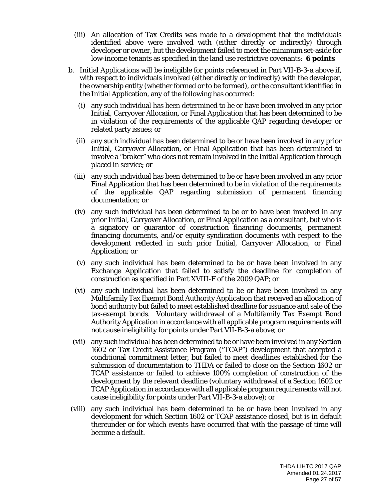- (iii) An allocation of Tax Credits was made to a development that the individuals identified above were involved with (either directly or indirectly) through developer or owner, but the development failed to meet the minimum set-aside for low-income tenants as specified in the land use restrictive covenants: *6 points*
- b. Initial Applications will be ineligible for points referenced in Part VII-B-3-a above if, with respect to individuals involved (either directly or indirectly) with the developer, the ownership entity (whether formed or to be formed), or the consultant identified in the Initial Application, any of the following has occurred:
	- (i) any such individual has been determined to be or have been involved in any prior Initial, Carryover Allocation, or Final Application that has been determined to be in violation of the requirements of the applicable QAP regarding developer or related party issues; or
	- (ii) any such individual has been determined to be or have been involved in any prior Initial, Carryover Allocation, or Final Application that has been determined to involve a "broker" who does not remain involved in the Initial Application through placed in service; or
	- (iii) any such individual has been determined to be or have been involved in any prior Final Application that has been determined to be in violation of the requirements of the applicable QAP regarding submission of permanent financing documentation; or
	- (iv) any such individual has been determined to be or to have been involved in any prior Initial, Carryover Allocation, or Final Application as a consultant, but who is a signatory or guarantor of construction financing documents, permanent financing documents, and/or equity syndication documents with respect to the development reflected in such prior Initial, Carryover Allocation, or Final Application; or
	- (v) any such individual has been determined to be or have been involved in any Exchange Application that failed to satisfy the deadline for completion of construction as specified in Part XVIII-F of the 2009 QAP; or
	- (vi) any such individual has been determined to be or have been involved in any Multifamily Tax Exempt Bond Authority Application that received an allocation of bond authority but failed to meet established deadline for issuance and sale of the tax-exempt bonds. Voluntary withdrawal of a Multifamily Tax Exempt Bond Authority Application in accordance with all applicable program requirements will not cause ineligibility for points under Part VII-B-3-a above; or
	- (vii) any such individual has been determined to be or have been involved in any Section 1602 or Tax Credit Assistance Program ("TCAP") development that accepted a conditional commitment letter, but failed to meet deadlines established for the submission of documentation to THDA or failed to close on the Section 1602 or TCAP assistance or failed to achieve 100% completion of construction of the development by the relevant deadline (voluntary withdrawal of a Section 1602 or TCAP Application in accordance with all applicable program requirements will not cause ineligibility for points under Part VII-B-3-a above); or
- (viii) any such individual has been determined to be or have been involved in any development for which Section 1602 or TCAP assistance closed, but is in default thereunder or for which events have occurred that with the passage of time will become a default.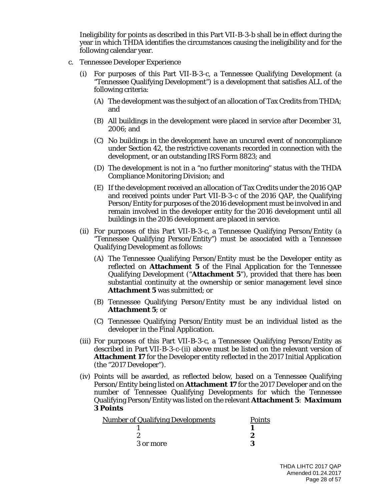Ineligibility for points as described in this Part VII-B-3-b shall be in effect during the year in which THDA identifies the circumstances causing the ineligibility and for the following calendar year.

- c. Tennessee Developer Experience
	- For purposes of this Part VII-B-3-c, a Tennessee Qualifying Development (a "Tennessee Qualifying Development") is a development that satisfies ALL of the following criteria:
		- (A) The development was the subject of an allocation of Tax Credits from THDA; and
		- (B) All buildings in the development were placed in service after December 31, 2006; and
		- (C) No buildings in the development have an uncured event of noncompliance under Section 42, the restrictive covenants recorded in connection with the development, or an outstanding IRS Form 8823; and
		- (D) The development is not in a "no further monitoring" status with the THDA Compliance Monitoring Division; and
		- (E) If the development received an allocation of Tax Credits under the 2016 QAP and received points under Part VII-B-3-c of the 2016 QAP, the Qualifying Person/Entity for purposes of the 2016 development must be involved in and remain involved in the developer entity for the 2016 development until all buildings in the 2016 development are placed in service.
	- (ii) For purposes of this Part VII-B-3-c, a Tennessee Qualifying Person/Entity (a "Tennessee Qualifying Person/Entity") must be associated with a Tennessee Qualifying Development as follows:
		- (A) The Tennessee Qualifying Person/Entity must be the Developer entity as reflected on **Attachment 5** of the Final Application for the Tennessee Qualifying Development ("**Attachment 5**"), provided that there has been substantial continuity at the ownership or senior management level since **Attachment 5** was submitted; or
		- (B) Tennessee Qualifying Person/Entity must be any individual listed on **Attachment 5**; or
		- (C) Tennessee Qualifying Person/Entity must be an individual listed as the developer in the Final Application.
	- (iii) For purposes of this Part VII-B-3-c, a Tennessee Qualifying Person/Entity as described in Part VII-B-3-c-(ii) above must be listed on the relevant version of **Attachment 17** for the Developer entity reflected in the 2017 Initial Application (the "2017 Developer").
	- (iv) Points will be awarded, as reflected below, based on a Tennessee Qualifying Person/Entity being listed on **Attachment 17** for the 2017 Developer and on the number of Tennessee Qualifying Developments for which the Tennessee Qualifying Person/Entity was listed on the relevant **Attachment 5**: *Maximum 3 Points*

| <b>Number of Qualifying Developments</b> | <b>Points</b> |
|------------------------------------------|---------------|
|                                          |               |
|                                          |               |
| 3 or more                                |               |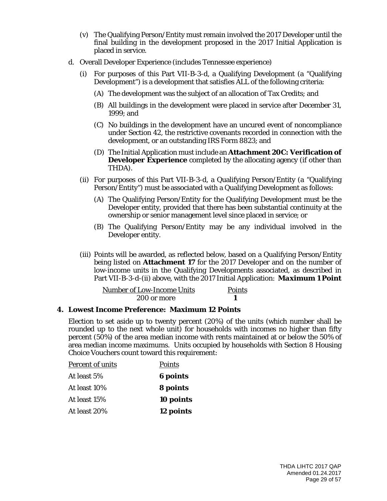- (v) The Qualifying Person/Entity must remain involved the 2017 Developer until the final building in the development proposed in the 2017 Initial Application is placed in service.
- d. Overall Developer Experience (includes Tennessee experience)
	- (i) For purposes of this Part VII-B-3-d, a Qualifying Development (a "Qualifying Development") is a development that satisfies ALL of the following criteria:
		- (A) The development was the subject of an allocation of Tax Credits; and
		- (B) All buildings in the development were placed in service after December 31, 1999; and
		- (C) No buildings in the development have an uncured event of noncompliance under Section 42, the restrictive covenants recorded in connection with the development, or an outstanding IRS Form 8823; and
		- (D) The Initial Application must include an **Attachment 20C: Verification of Developer Experience** completed by the allocating agency (if other than THDA).
	- (ii) For purposes of this Part VII-B-3-d, a Qualifying Person/Entity (a "Qualifying Person/Entity") must be associated with a Qualifying Development as follows:
		- (A) The Qualifying Person/Entity for the Qualifying Development must be the Developer entity, provided that there has been substantial continuity at the ownership or senior management level since placed in service; or
		- (B) The Qualifying Person/Entity may be any individual involved in the Developer entity.
	- (iii) Points will be awarded, as reflected below, based on a Qualifying Person/Entity being listed on **Attachment 17** for the 2017 Developer and on the number of low-income units in the Qualifying Developments associated, as described in Part VII-B-3-d-(ii) above, with the 2017 Initial Application: *Maximum 1 Point*

| <b>Number of Low-Income Units</b> | <b>Points</b> |
|-----------------------------------|---------------|
| 200 or more                       |               |

#### **4. Lowest Income Preference: Maximum 12 Points**

Election to set aside up to twenty percent (20%) of the units (which number shall be rounded up to the next whole unit) for households with incomes no higher than fifty percent (50%) of the area median income with rents maintained at or below the 50% of area median income maximums. Units occupied by households with Section 8 Housing Choice Vouchers count toward this requirement:

| Percent of units | Points          |
|------------------|-----------------|
| At least 5%      | <b>6</b> points |
| At least 10%     | <b>8 points</b> |
| At least 15%     | 10 points       |
| At least 20%     | 12 points       |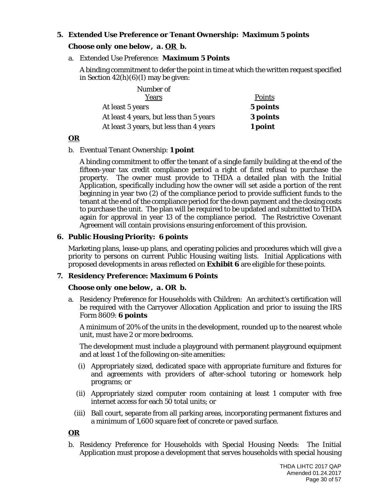# **5. Extended Use Preference or Tenant Ownership: Maximum 5 points**

#### *Choose only one below, a. OR b.*

#### a. Extended Use Preference: **Maximum 5 Points**

A binding commitment to defer the point in time at which the written request specified in Section  $42(h)(6)(I)$  may be given:

| Number of                               |          |
|-----------------------------------------|----------|
| Years                                   | Points   |
| At least 5 years                        | 5 points |
| At least 4 years, but less than 5 years | 3 points |
| At least 3 years, but less than 4 years | 1 point  |

#### *OR*

#### b. Eventual Tenant Ownership: **1 point**

A binding commitment to offer the tenant of a single family building at the end of the fifteen-year tax credit compliance period a right of first refusal to purchase the property. The owner must provide to THDA a detailed plan with the Initial Application, specifically including how the owner will set aside a portion of the rent beginning in year two (2) of the compliance period to provide sufficient funds to the tenant at the end of the compliance period for the down payment and the closing costs to purchase the unit. The plan will be required to be updated and submitted to THDA again for approval in year 13 of the compliance period. The Restrictive Covenant Agreement will contain provisions ensuring enforcement of this provision.

#### **6. Public Housing Priority: 6 points**

Marketing plans, lease-up plans, and operating policies and procedures which will give a priority to persons on current Public Housing waiting lists. Initial Applications with proposed developments in areas reflected on **Exhibit 6** are eligible for these points.

#### **7. Residency Preference: Maximum 6 Points**

#### *Choose only one below, a. OR b.*

a. Residency Preference for Households with Children: An architect's certification will be required with the Carryover Allocation Application and prior to issuing the IRS Form 8609: **6 points**

A minimum of 20% of the units in the development, rounded up to the nearest whole unit, must have 2 or more bedrooms.

The development must include a playground with permanent playground equipment and at least 1 of the following on-site amenities:

- (i) Appropriately sized, dedicated space with appropriate furniture and fixtures for and agreements with providers of after-school tutoring or homework help programs; or
- (ii) Appropriately sized computer room containing at least 1 computer with free internet access for each 50 total units; or
- (iii) Ball court, separate from all parking areas, incorporating permanent fixtures and a minimum of 1,600 square feet of concrete or paved surface.

#### *OR*

b. Residency Preference for Households with Special Housing Needs: The Initial Application must propose a development that serves households with special housing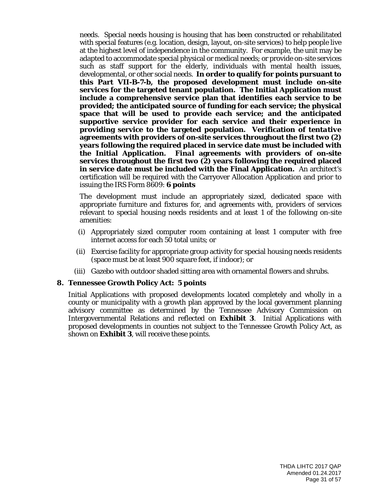needs. Special needs housing is housing that has been constructed or rehabilitated with special features (e.g. location, design, layout, on-site services) to help people live at the highest level of independence in the community. For example, the unit may be adapted to accommodate special physical or medical needs; or provide on-site services such as staff support for the elderly, individuals with mental health issues, developmental, or other social needs. **In order to qualify for points pursuant to this Part VII-B-7-b, the proposed development must include on-site services for the targeted tenant population. The Initial Application must include a comprehensive service plan that identifies each service to be provided; the anticipated source of funding for each service; the physical space that will be used to provide each service; and the anticipated supportive service provider for each service and their experience in providing service to the targeted population. Verification of** *tentative* **agreements with providers of on-site services throughout the first two (2) years following the required placed in service date must be included with the Initial Application.** *Final* **agreements with providers of on-site services throughout the first two (2) years following the required placed in service date must be included with the Final Application.** An architect's certification will be required with the Carryover Allocation Application and prior to issuing the IRS Form 8609: **6 points**

The development must include an appropriately sized, dedicated space with appropriate furniture and fixtures for, and agreements with, providers of services relevant to special housing needs residents and at least 1 of the following on-site amenities:

- (i) Appropriately sized computer room containing at least 1 computer with free internet access for each 50 total units; or
- (ii) Exercise facility for appropriate group activity for special housing needs residents (space must be at least 900 square feet, if indoor); or
- (iii) Gazebo with outdoor shaded sitting area with ornamental flowers and shrubs.

#### **8. Tennessee Growth Policy Act: 5 points**

Initial Applications with proposed developments located completely and wholly in a county or municipality with a growth plan approved by the local government planning advisory committee as determined by the Tennessee Advisory Commission on Intergovernmental Relations and reflected on **Exhibit 3**. Initial Applications with proposed developments in counties not subject to the Tennessee Growth Policy Act, as shown on **Exhibit 3**, will receive these points.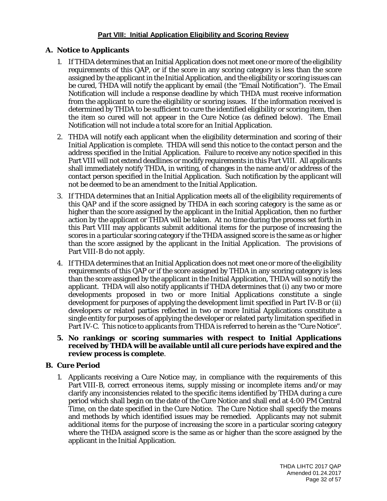# **Part VIII: Initial Application Eligibility and Scoring Review**

# **A. Notice to Applicants**

- 1. If THDA determines that an Initial Application does not meet one or more of the eligibility requirements of this QAP, or if the score in any scoring category is less than the score assigned by the applicant in the Initial Application, and the eligibility or scoring issues can be cured, THDA will notify the applicant by email (the "Email Notification"). The Email Notification will include a response deadline by which THDA must receive information from the applicant to cure the eligibility or scoring issues. If the information received is determined by THDA to be sufficient to cure the identified eligibility or scoring item, then the item so cured will not appear in the Cure Notice (as defined below). The Email Notification will not include a total score for an Initial Application.
- 2. THDA will notify each applicant when the eligibility determination and scoring of their Initial Application is complete. THDA will send this notice to the contact person and the address specified in the Initial Application. Failure to receive any notice specified in this Part VIII will not extend deadlines or modify requirements in this Part VIII. All applicants shall immediately notify THDA, in writing, of changes in the name and/or address of the contact person specified in the Initial Application. Such notification by the applicant will not be deemed to be an amendment to the Initial Application.
- 3. If THDA determines that an Initial Application meets all of the eligibility requirements of this QAP and if the score assigned by THDA in each scoring category is the same as or higher than the score assigned by the applicant in the Initial Application, then no further action by the applicant or THDA will be taken. At no time during the process set forth in this Part VIII may applicants submit additional items for the purpose of increasing the scores in a particular scoring category if the THDA assigned score is the same as or higher than the score assigned by the applicant in the Initial Application. The provisions of Part VIII-B do not apply.
- 4. If THDA determines that an Initial Application does not meet one or more of the eligibility requirements of this QAP or if the score assigned by THDA in any scoring category is less than the score assigned by the applicant in the Initial Application, THDA will so notify the applicant. THDA will also notify applicants if THDA determines that (i) any two or more developments proposed in two or more Initial Applications constitute a single development for purposes of applying the development limit specified in Part IV-B or (ii) developers or related parties reflected in two or more Initial Applications constitute a single entity for purposes of applying the developer or related party limitation specified in Part IV-C. This notice to applicants from THDA is referred to herein as the "Cure Notice".
- **5. No rankings or scoring summaries with respect to Initial Applications received by THDA will be available until all cure periods have expired and the review process is complete**.

#### **B. Cure Period**

1. Applicants receiving a Cure Notice may, in compliance with the requirements of this Part VIII-B, correct erroneous items, supply missing or incomplete items and/or may clarify any inconsistencies related to the specific items identified by THDA during a cure period which shall begin on the date of the Cure Notice and shall end at 4:00 PM Central Time, on the date specified in the Cure Notice. The Cure Notice shall specify the means and methods by which identified issues may be remedied. Applicants may not submit additional items for the purpose of increasing the score in a particular scoring category where the THDA assigned score is the same as or higher than the score assigned by the applicant in the Initial Application.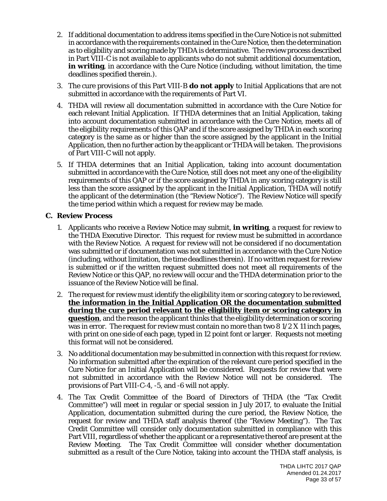- 2. If additional documentation to address items specified in the Cure Notice is not submitted in accordance with the requirements contained in the Cure Notice, then the determination as to eligibility and scoring made by THDA is determinative. The review process described in Part VIII-C is not available to applicants who do not submit additional documentation, **in writing**, in accordance with the Cure Notice (including, without limitation, the time deadlines specified therein.).
- 3. The cure provisions of this Part VIII-B **do not apply** to Initial Applications that are not submitted in accordance with the requirements of Part VI.
- 4. THDA will review all documentation submitted in accordance with the Cure Notice for each relevant Initial Application. If THDA determines that an Initial Application, taking into account documentation submitted in accordance with the Cure Notice, meets all of the eligibility requirements of this QAP and if the score assigned by THDA in each scoring category is the same as or higher than the score assigned by the applicant in the Initial Application, then no further action by the applicant or THDA will be taken. The provisions of Part VIII-C will not apply.
- 5. If THDA determines that an Initial Application, taking into account documentation submitted in accordance with the Cure Notice, still does not meet any one of the eligibility requirements of this QAP or if the score assigned by THDA in any scoring category is still less than the score assigned by the applicant in the Initial Application, THDA will notify the applicant of the determination (the "Review Notice"). The Review Notice will specify the time period within which a request for review may be made.

#### **C. Review Process**

- 1. Applicants who receive a Review Notice may submit, **in writing**, a request for review to the THDA Executive Director. This request for review must be submitted in accordance with the Review Notice. A request for review will not be considered if no documentation was submitted or if documentation was not submitted in accordance with the Cure Notice (including, without limitation, the time deadlines therein). If no written request for review is submitted or if the written request submitted does not meet all requirements of the Review Notice or this QAP, no review will occur and the THDA determination prior to the issuance of the Review Notice will be final.
- 2. The request for review must identify the eligibility item or scoring category to be reviewed, **the information in the Initial Application OR the documentation submitted during the cure period relevant to the eligibility item or scoring category in question**, and the reason the applicant thinks that the eligibility determination or scoring was in error. The request for review must contain no more than two  $81/2 X 11$  inch pages, with print on one side of each page, typed in 12 point font or larger. Requests not meeting this format will not be considered.
- 3. No additional documentation may be submitted in connection with this request for review. No information submitted after the expiration of the relevant cure period specified in the Cure Notice for an Initial Application will be considered. Requests for review that were not submitted in accordance with the Review Notice will not be considered. The provisions of Part VIII-C-4, -5, and -6 will not apply.
- 4. The Tax Credit Committee of the Board of Directors of THDA (the "Tax Credit Committee") will meet in regular or special session in July 2017, to evaluate the Initial Application, documentation submitted during the cure period, the Review Notice, the request for review and THDA staff analysis thereof (the "Review Meeting"). The Tax Credit Committee will consider only documentation submitted in compliance with this Part VIII, regardless of whether the applicant or a representative thereof are present at the Review Meeting. The Tax Credit Committee will consider whether documentation submitted as a result of the Cure Notice, taking into account the THDA staff analysis, is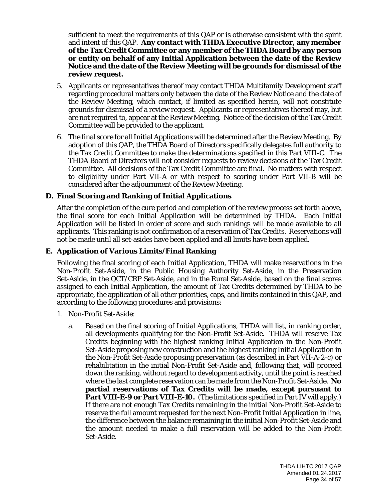sufficient to meet the requirements of this QAP or is otherwise consistent with the spirit and intent of this QAP. **Any contact with THDA Executive Director, any member of the Tax Credit Committee or any member of the THDA Board by any person or entity on behalf of any Initial Application between the date of the Review Notice and the date of the Review Meeting will be grounds for dismissal of the review request.** 

- 5. Applicants or representatives thereof may contact THDA Multifamily Development staff regarding procedural matters only between the date of the Review Notice and the date of the Review Meeting, which contact, if limited as specified herein, will not constitute grounds for dismissal of a review request. Applicants or representatives thereof may, but are not required to, appear at the Review Meeting. Notice of the decision of the Tax Credit Committee will be provided to the applicant.
- 6. The final score for all Initial Applications will be determined after the Review Meeting. By adoption of this QAP, the THDA Board of Directors specifically delegates full authority to the Tax Credit Committee to make the determinations specified in this Part VIII-C. The THDA Board of Directors will not consider requests to review decisions of the Tax Credit Committee. All decisions of the Tax Credit Committee are final. No matters with respect to eligibility under Part VII-A or with respect to scoring under Part VII-B will be considered after the adjournment of the Review Meeting.

# **D. Final Scoring and Ranking of Initial Applications**

After the completion of the cure period and completion of the review process set forth above, the final score for each Initial Application will be determined by THDA. Each Initial Application will be listed in order of score and such rankings will be made available to all applicants. This ranking is not confirmation of a reservation of Tax Credits. Reservations will not be made until all set-asides have been applied and all limits have been applied.

#### **E. Application of Various Limits/Final Ranking**

Following the final scoring of each Initial Application, THDA will make reservations in the Non-Profit Set-Aside, in the Public Housing Authority Set-Aside, in the Preservation Set-Aside, in the QCT/CRP Set-Aside, and in the Rural Set-Aside, based on the final scores assigned to each Initial Application, the amount of Tax Credits determined by THDA to be appropriate, the application of all other priorities, caps, and limits contained in this QAP, and according to the following procedures and provisions:

- 1. Non-Profit Set-Aside:
	- a. Based on the final scoring of Initial Applications, THDA will list, in ranking order, all developments qualifying for the Non-Profit Set-Aside. THDA will reserve Tax Credits beginning with the highest ranking Initial Application in the Non-Profit Set-Aside proposing new construction and the highest ranking Initial Application in the Non-Profit Set-Aside proposing preservation (as described in Part VII-A-2-c) or rehabilitation in the initial Non-Profit Set-Aside and, following that, will proceed down the ranking, without regard to development activity, until the point is reached where the last complete reservation can be made from the Non-Profit Set-Aside. **No partial reservations of Tax Credits will be made, except pursuant to Part VIII-E-9 or Part VIII-E-10.** (The limitations specified in Part IV will apply.) If there are not enough Tax Credits remaining in the initial Non-Profit Set-Aside to reserve the full amount requested for the next Non-Profit Initial Application in line, the difference between the balance remaining in the initial Non-Profit Set-Aside and the amount needed to make a full reservation will be added to the Non-Profit Set-Aside.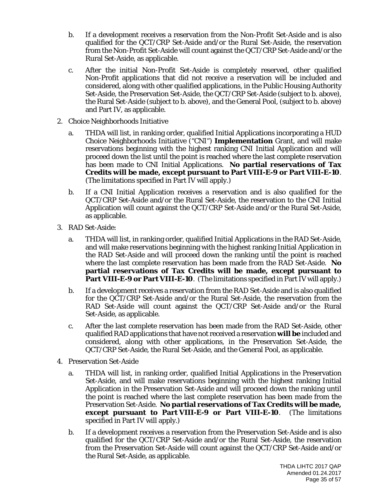- b. If a development receives a reservation from the Non-Profit Set-Aside and is also qualified for the QCT/CRP Set-Aside and/or the Rural Set-Aside, the reservation from the Non-Profit Set-Aside will count against the QCT/CRP Set-Aside and/or the Rural Set-Aside, as applicable.
- c. After the initial Non-Profit Set-Aside is completely reserved, other qualified Non-Profit applications that did not receive a reservation will be included and considered, along with other qualified applications, in the Public Housing Authority Set-Aside, the Preservation Set-Aside, the QCT/CRP Set-Aside (subject to b. above), the Rural Set-Aside (subject to b. above), and the General Pool, (subject to b. above) and Part IV, as applicable.
- 2. Choice Neighborhoods Initiative
	- a. THDA will list, in ranking order, qualified Initial Applications incorporating a HUD Choice Neighborhoods Initiative ("CNI") **Implementation** Grant, and will make reservations beginning with the highest ranking CNI Initial Application and will proceed down the list until the point is reached where the last complete reservation has been made to CNI Initial Applications. **No partial reservations of Tax Credits will be made, except pursuant to Part VIII-E-9 or Part VIII-E-10**. (The limitations specified in Part IV will apply.)
	- b. If a CNI Initial Application receives a reservation and is also qualified for the QCT/CRP Set-Aside and/or the Rural Set-Aside, the reservation to the CNI Initial Application will count against the QCT/CRP Set-Aside and/or the Rural Set-Aside, as applicable.
- 3. RAD Set-Aside:
	- a. THDA will list, in ranking order, qualified Initial Applications in the RAD Set-Aside, and will make reservations beginning with the highest ranking Initial Application in the RAD Set-Aside and will proceed down the ranking until the point is reached where the last complete reservation has been made from the RAD Set-Aside. **No partial reservations of Tax Credits will be made, except pursuant to Part VIII-E-9 or Part VIII-E-10**. (The limitations specified in Part IV will apply.)
	- b. If a development receives a reservation from the RAD Set-Aside and is also qualified for the QCT/CRP Set-Aside and/or the Rural Set-Aside, the reservation from the RAD Set-Aside will count against the QCT/CRP Set-Aside and/or the Rural Set-Aside, as applicable.
	- c. After the last complete reservation has been made from the RAD Set-Aside, other qualified RAD applications that have not received a reservation **will be** included and considered, along with other applications, in the Preservation Set-Aside, the QCT/CRP Set-Aside, the Rural Set-Aside, and the General Pool, as applicable.
- 4. Preservation Set-Aside
	- a. THDA will list, in ranking order, qualified Initial Applications in the Preservation Set-Aside, and will make reservations beginning with the highest ranking Initial Application in the Preservation Set-Aside and will proceed down the ranking until the point is reached where the last complete reservation has been made from the Preservation Set-Aside. **No partial reservations of Tax Credits will be made, except pursuant to Part VIII-E-9 or Part VIII-E-10**. (The limitations specified in Part IV will apply.)
	- b. If a development receives a reservation from the Preservation Set-Aside and is also qualified for the QCT/CRP Set-Aside and/or the Rural Set-Aside, the reservation from the Preservation Set-Aside will count against the QCT/CRP Set-Aside and/or the Rural Set-Aside, as applicable.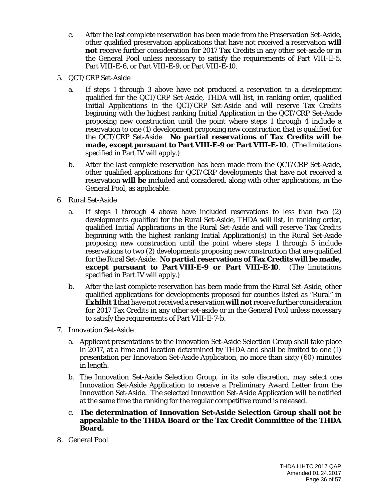- c. After the last complete reservation has been made from the Preservation Set-Aside, other qualified preservation applications that have not received a reservation **will not** receive further consideration for 2017 Tax Credits in any other set-aside or in the General Pool unless necessary to satisfy the requirements of Part VIII-E-5, Part VIII-E-6, or Part VIII-E-9, or Part VIII-E-10.
- 5. QCT/CRP Set-Aside
	- a. If steps 1 through 3 above have not produced a reservation to a development qualified for the QCT/CRP Set-Aside, THDA will list, in ranking order, qualified Initial Applications in the QCT/CRP Set-Aside and will reserve Tax Credits beginning with the highest ranking Initial Application in the QCT/CRP Set-Aside proposing new construction until the point where steps 1 through 4 include a reservation to one (1) development proposing new construction that is qualified for the QCT/CRP Set-Aside. **No partial reservations of Tax Credits will be made, except pursuant to Part VIII-E-9 or Part VIII-E-10**. (The limitations specified in Part IV will apply.)
	- b. After the last complete reservation has been made from the QCT/CRP Set-Aside, other qualified applications for QCT/CRP developments that have not received a reservation **will be** included and considered, along with other applications, in the General Pool, as applicable.
- 6. Rural Set-Aside
	- a. If steps 1 through 4 above have included reservations to less than two (2) developments qualified for the Rural Set-Aside, THDA will list, in ranking order, qualified Initial Applications in the Rural Set-Aside and will reserve Tax Credits beginning with the highest ranking Initial Application(s) in the Rural Set-Aside proposing new construction until the point where steps 1 through 5 include reservations to two (2) developments proposing new construction that are qualified for the Rural Set-Aside. **No partial reservations of Tax Credits will be made, except pursuant to Part VIII-E-9 or Part VIII-E-10**. (The limitations specified in Part IV will apply.)
	- b. After the last complete reservation has been made from the Rural Set-Aside, other qualified applications for developments proposed for counties listed as "Rural" in **Exhibit 1** that have not received a reservation **will not** receive further consideration for 2017 Tax Credits in any other set-aside or in the General Pool unless necessary to satisfy the requirements of Part VIII-E-7-b.
- 7. Innovation Set-Aside
	- a. Applicant presentations to the Innovation Set-Aside Selection Group shall take place in 2017, at a time and location determined by THDA and shall be limited to one (1) presentation per Innovation Set-Aside Application, no more than sixty (60) minutes in length.
	- b. The Innovation Set-Aside Selection Group, in its sole discretion, may select one Innovation Set-Aside Application to receive a Preliminary Award Letter from the Innovation Set-Aside. The selected Innovation Set-Aside Application will be notified at the same time the ranking for the regular competitive round is released.
	- c. **The determination of Innovation Set-Aside Selection Group shall not be appealable to the THDA Board or the Tax Credit Committee of the THDA Board.**
- 8. General Pool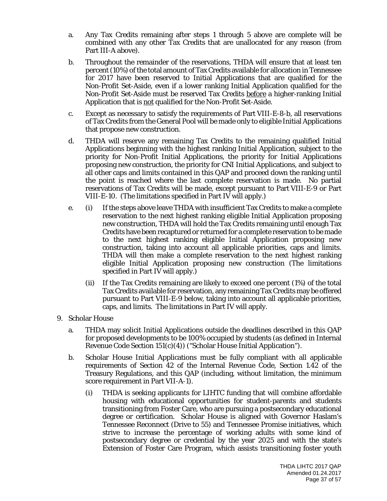- a. Any Tax Credits remaining after steps 1 through 5 above are complete will be combined with any other Tax Credits that are unallocated for any reason (from Part III-A above).
- b. Throughout the remainder of the reservations, THDA will ensure that at least ten percent (10%) of the total amount of Tax Credits available for allocation in Tennessee for 2017 have been reserved to Initial Applications that are qualified for the Non-Profit Set-Aside, even if a lower ranking Initial Application qualified for the Non-Profit Set-Aside must be reserved Tax Credits before a higher-ranking Initial Application that is not qualified for the Non-Profit Set-Aside.
- c. Except as necessary to satisfy the requirements of Part VIII-E-8-b, all reservations of Tax Credits from the General Pool will be made only to eligible Initial Applications that propose new construction.
- d. THDA will reserve any remaining Tax Credits to the remaining qualified Initial Applications beginning with the highest ranking Initial Application, subject to the priority for Non-Profit Initial Applications, the priority for Initial Applications proposing new construction, the priority for CNI Initial Applications, and subject to all other caps and limits contained in this QAP and proceed down the ranking until the point is reached where the last complete reservation is made. No partial reservations of Tax Credits will be made, except pursuant to Part VIII-E-9 or Part VIII-E-10. (The limitations specified in Part IV will apply.)
- e. (i) If the steps above leave THDA with insufficient Tax Credits to make a complete reservation to the next highest ranking eligible Initial Application proposing new construction, THDA will hold the Tax Credits remaining until enough Tax Credits have been recaptured or returned for a complete reservation to be made to the next highest ranking eligible Initial Application proposing new construction, taking into account all applicable priorities, caps and limits. THDA will then make a complete reservation to the next highest ranking eligible Initial Application proposing new construction (The limitations specified in Part IV will apply.)
	- (ii) If the Tax Credits remaining are likely to exceed one percent (1%) of the total Tax Credits available for reservation, any remaining Tax Credits may be offered pursuant to Part VIII-E-9 below, taking into account all applicable priorities, caps, and limits. The limitations in Part IV will apply.
- 9. Scholar House
	- a. THDA may solicit Initial Applications outside the deadlines described in this QAP for proposed developments to be 100% occupied by students (as defined in Internal Revenue Code Section 151(c)(4)) ("Scholar House Initial Application").
	- b. Scholar House Initial Applications must be fully compliant with all applicable requirements of Section 42 of the Internal Revenue Code, Section 1.42 of the Treasury Regulations, and this QAP (including, without limitation, the minimum score requirement in Part VII-A-1).
		- (i) THDA is seeking applicants for LIHTC funding that will combine affordable housing with educational opportunities for student-parents and students transitioning from Foster Care, who are pursuing a postsecondary educational degree or certification. Scholar House is aligned with Governor Haslam's Tennessee Reconnect (Drive to 55) and Tennessee Promise initiatives, which strive to increase the percentage of working adults with some kind of postsecondary degree or credential by the year 2025 and with the state's Extension of Foster Care Program, which assists transitioning foster youth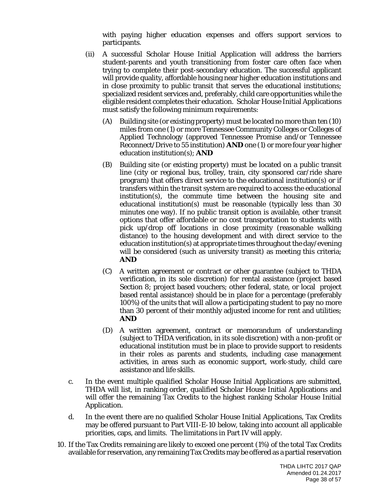with paying higher education expenses and offers support services to participants.

- (ii) A successful Scholar House Initial Application will address the barriers student-parents and youth transitioning from foster care often face when trying to complete their post-secondary education. The successful applicant will provide quality, affordable housing near higher education institutions and in close proximity to public transit that serves the educational institutions; specialized resident services and, preferably, child care opportunities while the eligible resident completes their education. Scholar House Initial Applications must satisfy the following minimum requirements:
	- (A) Building site (or existing property) must be located no more than ten (10) miles from one (1) or more Tennessee Community Colleges or Colleges of Applied Technology (approved Tennessee Promise and/or Tennessee Reconnect/Drive to 55 institution) **AND** one (1) or more four year higher education institution(s); **AND**
	- (B) Building site (or existing property) must be located on a public transit line (city or regional bus, trolley, train, city sponsored car/ride share program) that offers direct service to the educational institution(s) or if transfers within the transit system are required to access the educational institution(s), the commute time between the housing site and educational institution(s) must be reasonable (typically less than 30 minutes one way). If no public transit option is available, other transit options that offer affordable or no cost transportation to students with pick up/drop off locations in close proximity (reasonable walking distance) to the housing development and with direct service to the education institution(s) at appropriate times throughout the day/evening will be considered (such as university transit) as meeting this criteria; **AND**
	- (C) A written agreement or contract or other guarantee (subject to THDA verification, in its sole discretion) for rental assistance (project based Section 8; project based vouchers; other federal, state, or local project based rental assistance) should be in place for a percentage (preferably 100%) of the units that will allow a participating student to pay no more than 30 percent of their monthly adjusted income for rent and utilities; **AND**
	- (D) A written agreement, contract or memorandum of understanding (subject to THDA verification, in its sole discretion) with a non-profit or educational institution must be in place to provide support to residents in their roles as parents and students, including case management activities, in areas such as economic support, work-study, child care assistance and life skills.
- c. In the event multiple qualified Scholar House Initial Applications are submitted, THDA will list, in ranking order, qualified Scholar House Initial Applications and will offer the remaining Tax Credits to the highest ranking Scholar House Initial Application.
- d. In the event there are no qualified Scholar House Initial Applications, Tax Credits may be offered pursuant to Part VIII-E-10 below, taking into account all applicable priorities, caps, and limits. The limitations in Part IV will apply.
- 10. If the Tax Credits remaining are likely to exceed one percent (1%) of the total Tax Credits available for reservation, any remaining Tax Credits may be offered as a partial reservation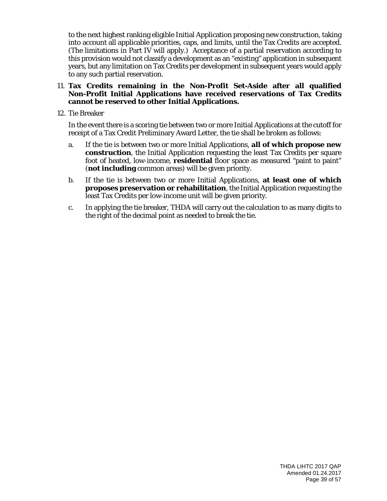to the next highest ranking eligible Initial Application proposing new construction, taking into account all applicable priorities, caps, and limits, until the Tax Credits are accepted. (The limitations in Part IV will apply.) Acceptance of a partial reservation according to this provision would not classify a development as an "existing" application in subsequent years, but any limitation on Tax Credits per development in subsequent years would apply to any such partial reservation.

#### 11. **Tax Credits remaining in the Non-Profit Set-Aside after all qualified Non-Profit Initial Applications have received reservations of Tax Credits cannot be reserved to other Initial Applications.**

12. Tie Breaker

In the event there is a scoring tie between two or more Initial Applications at the cutoff for receipt of a Tax Credit Preliminary Award Letter, the tie shall be broken as follows:

- a. If the tie is between two or more Initial Applications, **all of which propose new construction**, the Initial Application requesting the least Tax Credits per square foot of heated, low-income, **residential** floor space as measured "paint to paint" (**not including** common areas) will be given priority.
- b. If the tie is between two or more Initial Applications, **at least one of which proposes preservation or rehabilitation**, the Initial Application requesting the least Tax Credits per low-income unit will be given priority.
- c. In applying the tie breaker, THDA will carry out the calculation to as many digits to the right of the decimal point as needed to break the tie.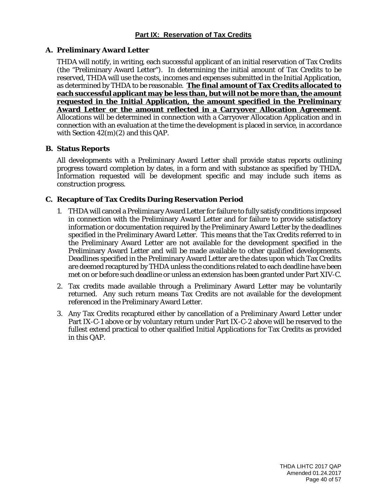### **A. Preliminary Award Letter**

THDA will notify, in writing, each successful applicant of an initial reservation of Tax Credits (the "Preliminary Award Letter"). In determining the initial amount of Tax Credits to be reserved, THDA will use the costs, incomes and expenses submitted in the Initial Application, as determined by THDA to be reasonable. **The final amount of Tax Credits allocated to each successful applicant may be less than, but will not be more than, the amount requested in the Initial Application, the amount specified in the Preliminary Award Letter or the amount reflected in a Carryover Allocation Agreement**. Allocations will be determined in connection with a Carryover Allocation Application and in connection with an evaluation at the time the development is placed in service, in accordance with Section 42(m)(2) and this QAP.

#### **B. Status Reports**

All developments with a Preliminary Award Letter shall provide status reports outlining progress toward completion by dates, in a form and with substance as specified by THDA. Information requested will be development specific and may include such items as construction progress.

# **C. Recapture of Tax Credits During Reservation Period**

- 1. THDA will cancel a Preliminary Award Letter for failure to fully satisfy conditions imposed in connection with the Preliminary Award Letter and for failure to provide satisfactory information or documentation required by the Preliminary Award Letter by the deadlines specified in the Preliminary Award Letter. This means that the Tax Credits referred to in the Preliminary Award Letter are not available for the development specified in the Preliminary Award Letter and will be made available to other qualified developments. Deadlines specified in the Preliminary Award Letter are the dates upon which Tax Credits are deemed recaptured by THDA unless the conditions related to each deadline have been met on or before such deadline or unless an extension has been granted under Part XIV-C.
- 2. Tax credits made available through a Preliminary Award Letter may be voluntarily returned. Any such return means Tax Credits are not available for the development referenced in the Preliminary Award Letter.
- 3. Any Tax Credits recaptured either by cancellation of a Preliminary Award Letter under Part IX-C-1 above or by voluntary return under Part IX-C-2 above will be reserved to the fullest extend practical to other qualified Initial Applications for Tax Credits as provided in this QAP.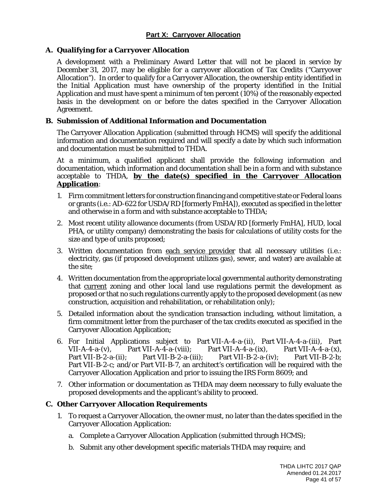# **Part X: Carryover Allocation**

#### **A. Qualifying for a Carryover Allocation**

A development with a Preliminary Award Letter that will not be placed in service by December 31, 2017, may be eligible for a carryover allocation of Tax Credits ("Carryover Allocation"). In order to qualify for a Carryover Allocation, the ownership entity identified in the Initial Application must have ownership of the property identified in the Initial Application and must have spent a minimum of ten percent (10%) of the reasonably expected basis in the development on or before the dates specified in the Carryover Allocation Agreement.

### **B. Submission of Additional Information and Documentation**

The Carryover Allocation Application (submitted through HCMS) will specify the additional information and documentation required and will specify a date by which such information and documentation must be submitted to THDA.

At a minimum, a qualified applicant shall provide the following information and documentation, which information and documentation shall be in a form and with substance acceptable to THDA, **by the date(s) specified in the Carryover Allocation Application**:

- 1. Firm commitment letters for construction financing and competitive state or Federal loans or grants (i.e.: AD-622 for USDA/RD [formerly FmHA]), executed as specified in the letter and otherwise in a form and with substance acceptable to THDA;
- 2. Most recent utility allowance documents (from USDA/RD [formerly FmHA], HUD, local PHA, or utility company) demonstrating the basis for calculations of utility costs for the size and type of units proposed;
- 3. Written documentation from each service provider that all necessary utilities (i.e.: electricity, gas (if proposed development utilizes gas), sewer, and water) are available at the site;
- 4. Written documentation from the appropriate local governmental authority demonstrating that current zoning and other local land use regulations permit the development as proposed or that no such regulations currently apply to the proposed development (as new construction, acquisition and rehabilitation, or rehabilitation only);
- 5. Detailed information about the syndication transaction including, without limitation, a firm commitment letter from the purchaser of the tax credits executed as specified in the Carryover Allocation Application;
- 6. For Initial Applications subject to Part VII-A-4-a-(ii), Part VII-A-4-a-(iii), Part VII-A-4-a-(v), Part VII-A-4-a-(viii); Part VII-A-4-a-(ix), Part VII-A-4-a- $(x)$ , Part VII-B-2-a-(ii); Part VII-B-2-a-(iii); Part VII-B-2-a-(iv); Part VII-B-2-b; Part VII-B-2-c; and/or Part VII-B-7, an architect's certification will be required with the Carryover Allocation Application and prior to issuing the IRS Form 8609; and
- 7. Other information or documentation as THDA may deem necessary to fully evaluate the proposed developments and the applicant's ability to proceed.

#### **C. Other Carryover Allocation Requirements**

- 1. To request a Carryover Allocation, the owner must, no later than the dates specified in the Carryover Allocation Application:
	- a. Complete a Carryover Allocation Application (submitted through HCMS);
	- b. Submit any other development specific materials THDA may require; and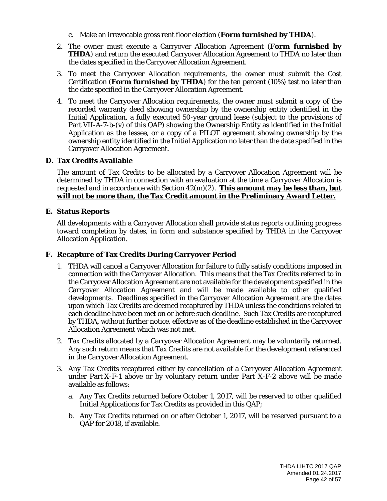- c. Make an irrevocable gross rent floor election (**Form furnished by THDA**).
- 2. The owner must execute a Carryover Allocation Agreement (**Form furnished by THDA**) and return the executed Carryover Allocation Agreement to THDA no later than the dates specified in the Carryover Allocation Agreement.
- 3. To meet the Carryover Allocation requirements, the owner must submit the Cost Certification (**Form furnished by THDA**) for the ten percent (10%) test no later than the date specified in the Carryover Allocation Agreement.
- 4. To meet the Carryover Allocation requirements, the owner must submit a copy of the recorded warranty deed showing ownership by the ownership entity identified in the Initial Application, a fully executed 50-year ground lease (subject to the provisions of Part VII-A-7-b-(v) of this QAP) showing the Ownership Entity as identified in the Initial Application as the lessee, or a copy of a PILOT agreement showing ownership by the ownership entity identified in the Initial Application no later than the date specified in the Carryover Allocation Agreement.

# **D. Tax Credits Available**

The amount of Tax Credits to be allocated by a Carryover Allocation Agreement will be determined by THDA in connection with an evaluation at the time a Carryover Allocation is requested and in accordance with Section 42(m)(2). **This amount may be less than, but will not be more than, the Tax Credit amount in the Preliminary Award Letter.**

# **E. Status Reports**

All developments with a Carryover Allocation shall provide status reports outlining progress toward completion by dates, in form and substance specified by THDA in the Carryover Allocation Application.

# **F. Recapture of Tax Credits During Carryover Period**

- 1. THDA will cancel a Carryover Allocation for failure to fully satisfy conditions imposed in connection with the Carryover Allocation. This means that the Tax Credits referred to in the Carryover Allocation Agreement are not available for the development specified in the Carryover Allocation Agreement and will be made available to other qualified developments. Deadlines specified in the Carryover Allocation Agreement are the dates upon which Tax Credits are deemed recaptured by THDA unless the conditions related to each deadline have been met on or before such deadline. Such Tax Credits are recaptured by THDA, without further notice, effective as of the deadline established in the Carryover Allocation Agreement which was not met.
- 2. Tax Credits allocated by a Carryover Allocation Agreement may be voluntarily returned. Any such return means that Tax Credits are not available for the development referenced in the Carryover Allocation Agreement.
- 3. Any Tax Credits recaptured either by cancellation of a Carryover Allocation Agreement under Part X-F-1 above or by voluntary return under Part X-F-2 above will be made available as follows:
	- a. Any Tax Credits returned before October 1, 2017, will be reserved to other qualified Initial Applications for Tax Credits as provided in this QAP;
	- b. Any Tax Credits returned on or after October 1, 2017, will be reserved pursuant to a QAP for 2018, if available.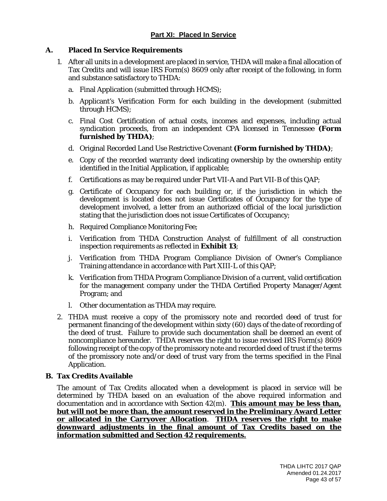### **A. Placed In Service Requirements**

- 1. After all units in a development are placed in service, THDA will make a final allocation of Tax Credits and will issue IRS Form(s) 8609 only after receipt of the following, in form and substance satisfactory to THDA:
	- a. Final Application (submitted through HCMS);
	- b. Applicant's Verification Form for each building in the development (submitted through HCMS);
	- c. Final Cost Certification of actual costs, incomes and expenses, including actual syndication proceeds, from an independent CPA licensed in Tennessee **(Form furnished by THDA)**;
	- d. Original Recorded Land Use Restrictive Covenant **(Form furnished by THDA)**;
	- e. Copy of the recorded warranty deed indicating ownership by the ownership entity identified in the Initial Application, if applicable;
	- f. Certifications as may be required under Part VII-A and Part VII-B of this QAP;
	- g. Certificate of Occupancy for each building or, if the jurisdiction in which the development is located does not issue Certificates of Occupancy for the type of development involved, a letter from an authorized official of the local jurisdiction stating that the jurisdiction does not issue Certificates of Occupancy;
	- h. Required Compliance Monitoring Fee;
	- i. Verification from THDA Construction Analyst of fulfillment of all construction inspection requirements as reflected in **Exhibit 13**;
	- j. Verification from THDA Program Compliance Division of Owner's Compliance Training attendance in accordance with Part XIII-L of this QAP;
	- k. Verification from THDA Program Compliance Division of a current, valid certification for the management company under the THDA Certified Property Manager/Agent Program; and
	- l. Other documentation as THDA may require.
- 2. THDA must receive a copy of the promissory note and recorded deed of trust for permanent financing of the development within sixty (60) days of the date of recording of the deed of trust. Failure to provide such documentation shall be deemed an event of noncompliance hereunder. THDA reserves the right to issue revised IRS Form(s) 8609 following receipt of the copy of the promissory note and recorded deed of trust if the terms of the promissory note and/or deed of trust vary from the terms specified in the Final Application.

#### **B. Tax Credits Available**

The amount of Tax Credits allocated when a development is placed in service will be determined by THDA based on an evaluation of the above required information and documentation and in accordance with Section 42(m). **This amount may be less than, but will not be more than, the amount reserved in the Preliminary Award Letter or allocated in the Carryover Allocation**. **THDA reserves the right to make downward adjustments in the final amount of Tax Credits based on the information submitted and Section 42 requirements.**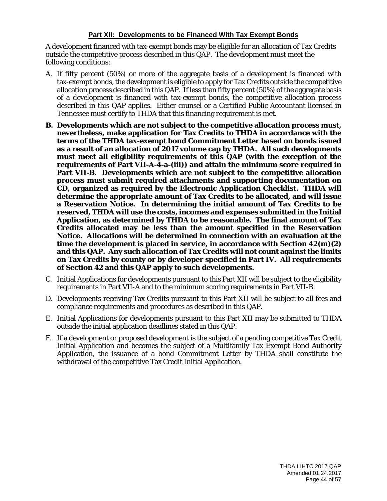# **Part XII: Developments to be Financed With Tax Exempt Bonds**

A development financed with tax-exempt bonds may be eligible for an allocation of Tax Credits outside the competitive process described in this QAP. The development must meet the following conditions:

- A. If fifty percent (50%) or more of the aggregate basis of a development is financed with tax-exempt bonds, the development is eligible to apply for Tax Credits outside the competitive allocation process described in this QAP. If less than fifty percent (50%) of the aggregate basis of a development is financed with tax-exempt bonds, the competitive allocation process described in this QAP applies. Either counsel or a Certified Public Accountant licensed in Tennessee must certify to THDA that this financing requirement is met.
- **B. Developments which are not subject to the competitive allocation process must, nevertheless, make application for Tax Credits to THDA in accordance with the terms of the THDA tax-exempt bond Commitment Letter based on bonds issued as a result of an allocation of 2017 volume cap by THDA. All such developments must meet all eligibility requirements of this QAP (with the exception of the requirements of Part VII-A-4-a-(iii)) and attain the minimum score required in Part VII-B. Developments which are not subject to the competitive allocation process must submit required attachments and supporting documentation on CD, organized as required by the Electronic Application Checklist. THDA will determine the appropriate amount of Tax Credits to be allocated, and will issue a Reservation Notice. In determining the initial amount of Tax Credits to be reserved, THDA will use the costs, incomes and expenses submitted in the Initial Application, as determined by THDA to be reasonable. The final amount of Tax Credits allocated may be less than the amount specified in the Reservation Notice. Allocations will be determined in connection with an evaluation at the time the development is placed in service, in accordance with Section 42(m)(2) and this QAP. Any such allocation of Tax Credits will not count against the limits on Tax Credits by county or by developer specified in Part IV. All requirements of Section 42 and this QAP apply to such developments.**
- C. Initial Applications for developments pursuant to this Part XII will be subject to the eligibility requirements in Part VII-A and to the minimum scoring requirements in Part VII-B.
- D. Developments receiving Tax Credits pursuant to this Part XII will be subject to all fees and compliance requirements and procedures as described in this QAP.
- E. Initial Applications for developments pursuant to this Part XII may be submitted to THDA outside the initial application deadlines stated in this QAP.
- F. If a development or proposed development is the subject of a pending competitive Tax Credit Initial Application and becomes the subject of a Multifamily Tax Exempt Bond Authority Application, the issuance of a bond Commitment Letter by THDA shall constitute the withdrawal of the competitive Tax Credit Initial Application.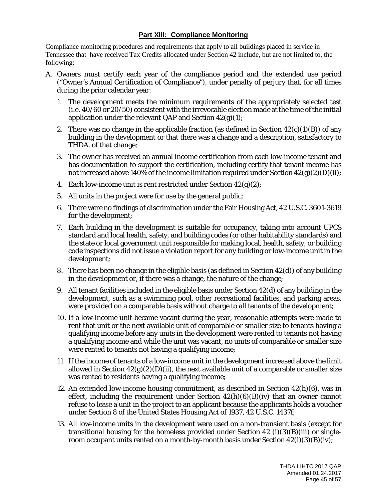# **Part XIII: Compliance Monitoring**

Compliance monitoring procedures and requirements that apply to all buildings placed in service in Tennessee that have received Tax Credits allocated under Section 42 include, but are not limited to, the following:

- A. Owners must certify each year of the compliance period and the extended use period ("Owner's Annual Certification of Compliance"), under penalty of perjury that, for all times during the prior calendar year:
	- 1. The development meets the minimum requirements of the appropriately selected test (i.e. 40/60 or 20/50) consistent with the irrevocable election made at the time of the initial application under the relevant QAP and Section  $42(g)(1)$ ;
	- 2. There was no change in the applicable fraction (as defined in Section  $42(c)(1)(B)$ ) of any building in the development or that there was a change and a description, satisfactory to THDA, of that change;
	- 3. The owner has received an annual income certification from each low-income tenant and has documentation to support the certification, including certify that tenant income has not increased above 140% of the income limitation required under Section  $42(g)(2)(D)(ii)$ ;
	- 4. Each low-income unit is rent restricted under Section  $42(g)(2)$ ;
	- 5. All units in the project were for use by the general public;
	- 6. There were no findings of discrimination under the Fair Housing Act, 42 U.S.C. 3601-3619 for the development;
	- 7. Each building in the development is suitable for occupancy, taking into account UPCS standard and local health, safety, and building codes (or other habitability standards) and the state or local government unit responsible for making local, health, safety, or building code inspections did not issue a violation report for any building or low-income unit in the development;
	- 8. There has been no change in the eligible basis (as defined in Section 42(d)) of any building in the development or, if there was a change, the nature of the change;
	- 9. All tenant facilities included in the eligible basis under Section 42(d) of any building in the development, such as a swimming pool, other recreational facilities, and parking areas, were provided on a comparable basis without charge to all tenants of the development;
	- 10. If a low-income unit became vacant during the year, reasonable attempts were made to rent that unit or the next available unit of comparable or smaller size to tenants having a qualifying income before any units in the development were rented to tenants not having a qualifying income and while the unit was vacant, no units of comparable or smaller size were rented to tenants not having a qualifying income;
	- 11. If the income of tenants of a low-income unit in the development increased above the limit allowed in Section  $42(g)(2)(D)(ii)$ , the next available unit of a comparable or smaller size was rented to residents having a qualifying income;
	- 12. An extended low-income housing commitment, as described in Section 42(h)(6), was in effect, including the requirement under Section  $42(h)(6)(B)(iv)$  that an owner cannot refuse to lease a unit in the project to an applicant because the applicants holds a voucher under Section 8 of the United States Housing Act of 1937, 42 U.S.C. 1437f;
	- 13. All low-income units in the development were used on a non-transient basis (except for transitional housing for the homeless provided under Section  $42$  (i)(3)(B)(iii) or singleroom occupant units rented on a month-by-month basis under Section  $42(i)(3)(B)(iv);$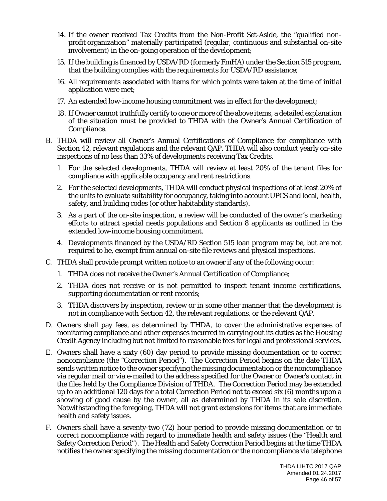- 14. If the owner received Tax Credits from the Non-Profit Set-Aside, the "qualified nonprofit organization" materially participated (regular, continuous and substantial on-site involvement) in the on-going operation of the development;
- 15. If the building is financed by USDA/RD (formerly FmHA) under the Section 515 program, that the building complies with the requirements for USDA/RD assistance;
- 16. All requirements associated with items for which points were taken at the time of initial application were met;
- 17. An extended low-income housing commitment was in effect for the development;
- 18. If Owner cannot truthfully certify to one or more of the above items, a detailed explanation of the situation must be provided to THDA with the Owner's Annual Certification of Compliance.
- B. THDA will review all Owner's Annual Certifications of Compliance for compliance with Section 42, relevant regulations and the relevant QAP. THDA will also conduct yearly on-site inspections of no less than 33% of developments receiving Tax Credits.
	- 1. For the selected developments, THDA will review at least 20% of the tenant files for compliance with applicable occupancy and rent restrictions.
	- 2. For the selected developments, THDA will conduct physical inspections of at least 20% of the units to evaluate suitability for occupancy, taking into account UPCS and local, health, safety, and building codes (or other habitability standards).
	- 3. As a part of the on-site inspection, a review will be conducted of the owner's marketing efforts to attract special needs populations and Section 8 applicants as outlined in the extended low-income housing commitment.
	- 4. Developments financed by the USDA/RD Section 515 loan program may be, but are not required to be, exempt from annual on-site file reviews and physical inspections.
- C. THDA shall provide prompt written notice to an owner if any of the following occur:
	- 1. THDA does not receive the Owner's Annual Certification of Compliance;
	- 2. THDA does not receive or is not permitted to inspect tenant income certifications, supporting documentation or rent records;
	- 3. THDA discovers by inspection, review or in some other manner that the development is not in compliance with Section 42, the relevant regulations, or the relevant QAP.
- D. Owners shall pay fees, as determined by THDA, to cover the administrative expenses of monitoring compliance and other expenses incurred in carrying out its duties as the Housing Credit Agency including but not limited to reasonable fees for legal and professional services.
- E. Owners shall have a sixty (60) day period to provide missing documentation or to correct noncompliance (the "Correction Period"). The Correction Period begins on the date THDA sends written notice to the owner specifying the missing documentation or the noncompliance via regular mail or via e-mailed to the address specified for the Owner or Owner's contact in the files held by the Compliance Division of THDA. The Correction Period may be extended up to an additional 120 days for a total Correction Period not to exceed six (6) months upon a showing of good cause by the owner, all as determined by THDA in its sole discretion. Notwithstanding the foregoing, THDA will not grant extensions for items that are immediate health and safety issues.
- F. Owners shall have a seventy-two (72) hour period to provide missing documentation or to correct noncompliance with regard to immediate health and safety issues (the "Health and Safety Correction Period"). The Health and Safety Correction Period begins at the time THDA notifies the owner specifying the missing documentation or the noncompliance via telephone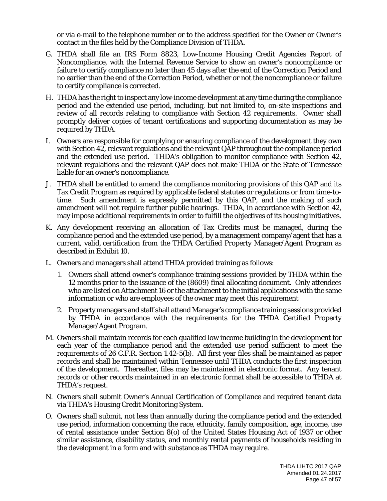or via e-mail to the telephone number or to the address specified for the Owner or Owner's contact in the files held by the Compliance Division of THDA.

- G. THDA shall file an IRS Form 8823, Low-Income Housing Credit Agencies Report of Noncompliance, with the Internal Revenue Service to show an owner's noncompliance or failure to certify compliance no later than 45 days after the end of the Correction Period and no earlier than the end of the Correction Period, whether or not the noncompliance or failure to certify compliance is corrected.
- H. THDA has the right to inspect any low-income development at any time during the compliance period and the extended use period, including, but not limited to, on-site inspections and review of all records relating to compliance with Section 42 requirements. Owner shall promptly deliver copies of tenant certifications and supporting documentation as may be required by THDA.
- I. Owners are responsible for complying or ensuring compliance of the development they own with Section 42, relevant regulations and the relevant QAP throughout the compliance period and the extended use period. THDA's obligation to monitor compliance with Section 42, relevant regulations and the relevant QAP does not make THDA or the State of Tennessee liable for an owner's noncompliance.
- J. THDA shall be entitled to amend the compliance monitoring provisions of this QAP and its Tax Credit Program as required by applicable federal statutes or regulations or from time-totime. Such amendment is expressly permitted by this QAP, and the making of such amendment will not require further public hearings. THDA, in accordance with Section 42, may impose additional requirements in order to fulfill the objectives of its housing initiatives.
- K. Any development receiving an allocation of Tax Credits must be managed, during the compliance period and the extended use period, by a management company/agent that has a current, valid, certification from the THDA Certified Property Manager/Agent Program as described in Exhibit 10.
- L. Owners and managers shall attend THDA provided training as follows:
	- 1. Owners shall attend owner's compliance training sessions provided by THDA within the 12 months prior to the issuance of the (8609) final allocating document. Only attendees who are listed on Attachment 16 or the attachment to the initial applications with the same information or who are employees of the owner may meet this requirement
	- 2. Property managers and staff shall attend Manager's compliance training sessions provided by THDA in accordance with the requirements for the THDA Certified Property Manager/Agent Program.
- M. Owners shall maintain records for each qualified low income building in the development for each year of the compliance period and the extended use period sufficient to meet the requirements of 26 C.F.R. Section 1.42-5(b). All first year files shall be maintained as paper records and shall be maintained within Tennessee until THDA conducts the first inspection of the development. Thereafter, files may be maintained in electronic format. Any tenant records or other records maintained in an electronic format shall be accessible to THDA at THDA's request.
- N. Owners shall submit Owner's Annual Certification of Compliance and required tenant data via THDA's Housing Credit Monitoring System.
- O. Owners shall submit, not less than annually during the compliance period and the extended use period, information concerning the race, ethnicity, family composition, age, income, use of rental assistance under Section 8(o) of the United States Housing Act of 1937 or other similar assistance, disability status, and monthly rental payments of households residing in the development in a form and with substance as THDA may require.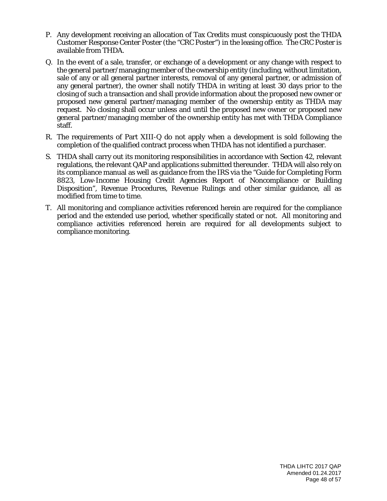- P. Any development receiving an allocation of Tax Credits must conspicuously post the THDA Customer Response Center Poster (the "CRC Poster") in the leasing office. The CRC Poster is available from THDA.
- Q. In the event of a sale, transfer, or exchange of a development or any change with respect to the general partner/managing member of the ownership entity (including, without limitation, sale of any or all general partner interests, removal of any general partner, or admission of any general partner), the owner shall notify THDA in writing at least 30 days prior to the closing of such a transaction and shall provide information about the proposed new owner or proposed new general partner/managing member of the ownership entity as THDA may request. No closing shall occur unless and until the proposed new owner or proposed new general partner/managing member of the ownership entity has met with THDA Compliance staff.
- R. The requirements of Part XIII-Q do not apply when a development is sold following the completion of the qualified contract process when THDA has not identified a purchaser.
- S. THDA shall carry out its monitoring responsibilities in accordance with Section 42, relevant regulations, the relevant QAP and applications submitted thereunder. THDA will also rely on its compliance manual as well as guidance from the IRS via the "Guide for Completing Form 8823, Low-Income Housing Credit Agencies Report of Noncompliance or Building Disposition", Revenue Procedures, Revenue Rulings and other similar guidance, all as modified from time to time.
- T. All monitoring and compliance activities referenced herein are required for the compliance period and the extended use period, whether specifically stated or not. All monitoring and compliance activities referenced herein are required for all developments subject to compliance monitoring.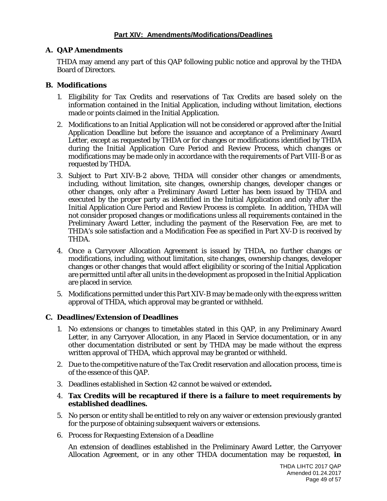# **A. QAP Amendments**

THDA may amend any part of this QAP following public notice and approval by the THDA Board of Directors.

#### **B. Modifications**

- 1. Eligibility for Tax Credits and reservations of Tax Credits are based solely on the information contained in the Initial Application, including without limitation, elections made or points claimed in the Initial Application.
- 2. Modifications to an Initial Application will not be considered or approved after the Initial Application Deadline but before the issuance and acceptance of a Preliminary Award Letter, except as requested by THDA or for changes or modifications identified by THDA during the Initial Application Cure Period and Review Process, which changes or modifications may be made only in accordance with the requirements of Part VIII-B or as requested by THDA.
- 3. Subject to Part XIV-B-2 above, THDA will consider other changes or amendments, including, without limitation, site changes, ownership changes, developer changes or other changes, only after a Preliminary Award Letter has been issued by THDA and executed by the proper party as identified in the Initial Application and only after the Initial Application Cure Period and Review Process is complete. In addition, THDA will not consider proposed changes or modifications unless all requirements contained in the Preliminary Award Letter, including the payment of the Reservation Fee, are met to THDA's sole satisfaction and a Modification Fee as specified in Part XV-D is received by THDA.
- 4. Once a Carryover Allocation Agreement is issued by THDA, no further changes or modifications, including, without limitation, site changes, ownership changes, developer changes or other changes that would affect eligibility or scoring of the Initial Application are permitted until after all units in the development as proposed in the Initial Application are placed in service.
- 5. Modifications permitted under this Part XIV-B may be made only with the express written approval of THDA, which approval may be granted or withheld.

#### **C. Deadlines/Extension of Deadlines**

- 1. No extensions or changes to timetables stated in this QAP, in any Preliminary Award Letter, in any Carryover Allocation, in any Placed in Service documentation, or in any other documentation distributed or sent by THDA may be made without the express written approval of THDA, which approval may be granted or withheld.
- 2. Due to the competitive nature of the Tax Credit reservation and allocation process, time is of the essence of this QAP.
- 3. Deadlines established in Section 42 cannot be waived or extended**.**
- 4. **Tax Credits will be recaptured if there is a failure to meet requirements by established deadlines.**
- 5. No person or entity shall be entitled to rely on any waiver or extension previously granted for the purpose of obtaining subsequent waivers or extensions.
- 6. Process for Requesting Extension of a Deadline

An extension of deadlines established in the Preliminary Award Letter, the Carryover Allocation Agreement, or in any other THDA documentation may be requested, **in**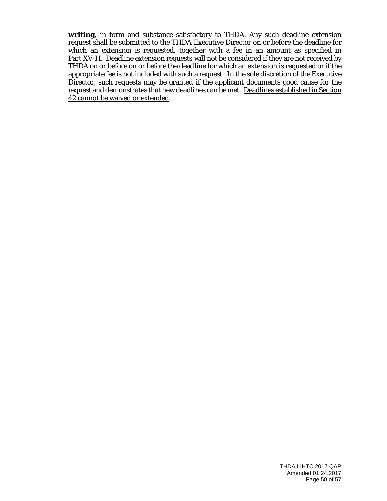**writing,** in form and substance satisfactory to THDA. Any such deadline extension request shall be submitted to the THDA Executive Director on or before the deadline for which an extension is requested, together with a fee in an amount as specified in Part XV-H. Deadline extension requests will not be considered if they are not received by THDA on or before on or before the deadline for which an extension is requested or if the appropriate fee is not included with such a request. In the sole discretion of the Executive Director, such requests may be granted if the applicant documents good cause for the request and demonstrates that new deadlines can be met. Deadlines established in Section 42 cannot be waived or extended.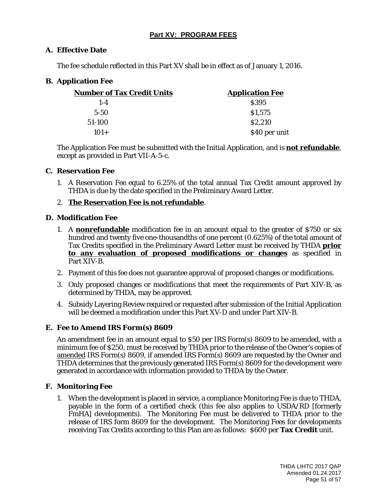# **Part XV: PROGRAM FEES**

# **A. Effective Date**

The fee schedule reflected in this Part XV shall be in effect as of January 1, 2016.

# **B. Application Fee**

| <b>Number of Tax Credit Units</b> | <b>Application Fee</b> |  |
|-----------------------------------|------------------------|--|
| $1 - 4$                           | <b>S395</b>            |  |
| $5 - 50$                          | \$1,575                |  |
| 51-100                            | \$2,210                |  |
| $101+$                            | \$40 per unit          |  |

The Application Fee must be submitted with the Initial Application, and is **not refundable**, except as provided in Part VII-A-5-c.

#### **C. Reservation Fee**

1. A Reservation Fee equal to 6.25% of the total annual Tax Credit amount approved by THDA is due by the date specified in the Preliminary Award Letter.

# 2. **The Reservation Fee is not refundable**.

#### **D. Modification Fee**

- 1. A **nonrefundable** modification fee in an amount equal to the greater of \$750 or six hundred and twenty five one-thousandths of one percent (0.625%) of the total amount of Tax Credits specified in the Preliminary Award Letter must be received by THDA **prior to any evaluation of proposed modifications or changes** as specified in Part XIV-B.
- 2. Payment of this fee does not guarantee approval of proposed changes or modifications.
- 3. Only proposed changes or modifications that meet the requirements of Part XIV-B, as determined by THDA, may be approved.
- 4. Subsidy Layering Review required or requested after submission of the Initial Application will be deemed a modification under this Part XV-D and under Part XIV-B.

#### **E. Fee to Amend IRS Form(s) 8609**

An amendment fee in an amount equal to \$50 per IRS Form(s) 8609 to be amended, with a minimum fee of \$250, must be received by THDA prior to the release of the Owner's copies of amended IRS Form(s) 8609, if amended IRS Form(s) 8609 are requested by the Owner and THDA determines that the previously generated IRS Form(s) 8609 for the development were generated in accordance with information provided to THDA by the Owner.

#### **F. Monitoring Fee**

1. When the development is placed in service, a compliance Monitoring Fee is due to THDA, payable in the form of a certified check (this fee also applies to USDA/RD [formerly FmHA] developments). The Monitoring Fee must be delivered to THDA prior to the release of IRS form 8609 for the development. The Monitoring Fees for developments receiving Tax Credits according to this Plan are as follows: \$600 per **Tax Credit** unit.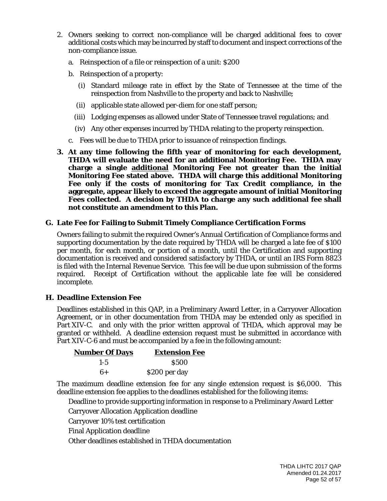- 2. Owners seeking to correct non-compliance will be charged additional fees to cover additional costs which may be incurred by staff to document and inspect corrections of the non-compliance issue.
	- a. Reinspection of a file or reinspection of a unit: \$200
	- b. Reinspection of a property:
		- (i) Standard mileage rate in effect by the State of Tennessee at the time of the reinspection from Nashville to the property and back to Nashville;
		- (ii) applicable state allowed per-diem for one staff person;
		- (iii) Lodging expenses as allowed under State of Tennessee travel regulations; and
		- (iv) Any other expenses incurred by THDA relating to the property reinspection.
	- c. Fees will be due to THDA prior to issuance of reinspection findings.
- **3. At any time following the fifth year of monitoring for each development, THDA will evaluate the need for an additional Monitoring Fee. THDA may charge a single additional Monitoring Fee not greater than the initial Monitoring Fee stated above. THDA will charge this additional Monitoring Fee only if the costs of monitoring for Tax Credit compliance, in the aggregate, appear likely to exceed the aggregate amount of initial Monitoring Fees collected. A decision by THDA to charge any such additional fee shall not constitute an amendment to this Plan.**

#### **G. Late Fee for Failing to Submit Timely Compliance Certification Forms**

Owners failing to submit the required Owner's Annual Certification of Compliance forms and supporting documentation by the date required by THDA will be charged a late fee of \$100 per month, for each month, or portion of a month, until the Certification and supporting documentation is received and considered satisfactory by THDA, or until an IRS Form 8823 is filed with the Internal Revenue Service. This fee will be due upon submission of the forms required. Receipt of Certification without the applicable late fee will be considered incomplete.

#### **H. Deadline Extension Fee**

Deadlines established in this QAP, in a Preliminary Award Letter, in a Carryover Allocation Agreement, or in other documentation from THDA may be extended only as specified in Part XIV-C. and only with the prior written approval of THDA, which approval may be granted or withheld. A deadline extension request must be submitted in accordance with Part XIV-C-6 and must be accompanied by a fee in the following amount:

| <b>Number Of Days</b> | <b>Extension Fee</b> |
|-----------------------|----------------------|
| $1 - 5$               | <b>S500</b>          |
| $6+$                  | \$200 per day        |

The maximum deadline extension fee for any single extension request is \$6,000. This deadline extension fee applies to the deadlines established for the following items:

Deadline to provide supporting information in response to a Preliminary Award Letter

Carryover Allocation Application deadline

Carryover 10% test certification

Final Application deadline

Other deadlines established in THDA documentation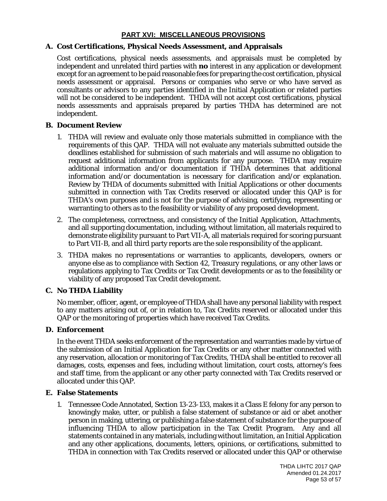# **PART XVI: MISCELLANEOUS PROVISIONS**

### **A. Cost Certifications, Physical Needs Assessment, and Appraisals**

Cost certifications, physical needs assessments, and appraisals must be completed by independent and unrelated third parties with **no** interest in any application or development except for an agreement to be paid reasonable fees for preparing the cost certification, physical needs assessment or appraisal. Persons or companies who serve or who have served as consultants or advisors to any parties identified in the Initial Application or related parties will not be considered to be independent. THDA will not accept cost certifications, physical needs assessments and appraisals prepared by parties THDA has determined are not independent.

#### **B. Document Review**

- 1. THDA will review and evaluate only those materials submitted in compliance with the requirements of this QAP. THDA will not evaluate any materials submitted outside the deadlines established for submission of such materials and will assume no obligation to request additional information from applicants for any purpose. THDA may require additional information and/or documentation if THDA determines that additional information and/or documentation is necessary for clarification and/or explanation. Review by THDA of documents submitted with Initial Applications or other documents submitted in connection with Tax Credits reserved or allocated under this QAP is for THDA's own purposes and is not for the purpose of advising, certifying, representing or warranting to others as to the feasibility or viability of any proposed development.
- 2. The completeness, correctness, and consistency of the Initial Application, Attachments, and all supporting documentation, including, without limitation, all materials required to demonstrate eligibility pursuant to Part VII-A, all materials required for scoring pursuant to Part VII-B, and all third party reports are the sole responsibility of the applicant.
- 3. THDA makes no representations or warranties to applicants, developers, owners or anyone else as to compliance with Section 42, Treasury regulations, or any other laws or regulations applying to Tax Credits or Tax Credit developments or as to the feasibility or viability of any proposed Tax Credit development.

#### **C. No THDA Liability**

No member, officer, agent, or employee of THDA shall have any personal liability with respect to any matters arising out of, or in relation to, Tax Credits reserved or allocated under this QAP or the monitoring of properties which have received Tax Credits.

#### **D. Enforcement**

In the event THDA seeks enforcement of the representation and warranties made by virtue of the submission of an Initial Application for Tax Credits or any other matter connected with any reservation, allocation or monitoring of Tax Credits, THDA shall be entitled to recover all damages, costs, expenses and fees, including without limitation, court costs, attorney's fees and staff time, from the applicant or any other party connected with Tax Credits reserved or allocated under this QAP.

#### **E. False Statements**

1. Tennessee Code Annotated, Section 13-23-133, makes it a Class E felony for any person to knowingly make, utter, or publish a false statement of substance or aid or abet another person in making, uttering, or publishing a false statement of substance for the purpose of influencing THDA to allow participation in the Tax Credit Program. Any and all statements contained in any materials, including without limitation, an Initial Application and any other applications, documents, letters, opinions, or certifications, submitted to THDA in connection with Tax Credits reserved or allocated under this QAP or otherwise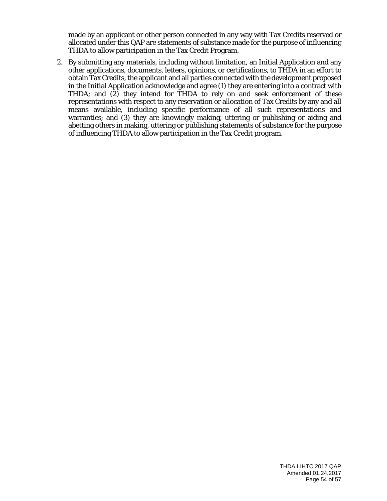made by an applicant or other person connected in any way with Tax Credits reserved or allocated under this QAP are statements of substance made for the purpose of influencing THDA to allow participation in the Tax Credit Program.

2. By submitting any materials, including without limitation, an Initial Application and any other applications, documents, letters, opinions, or certifications, to THDA in an effort to obtain Tax Credits, the applicant and all parties connected with the development proposed in the Initial Application acknowledge and agree (1) they are entering into a contract with THDA; and (2) they intend for THDA to rely on and seek enforcement of these representations with respect to any reservation or allocation of Tax Credits by any and all means available, including specific performance of all such representations and warranties; and (3) they are knowingly making, uttering or publishing or aiding and abetting others in making, uttering or publishing statements of substance for the purpose of influencing THDA to allow participation in the Tax Credit program.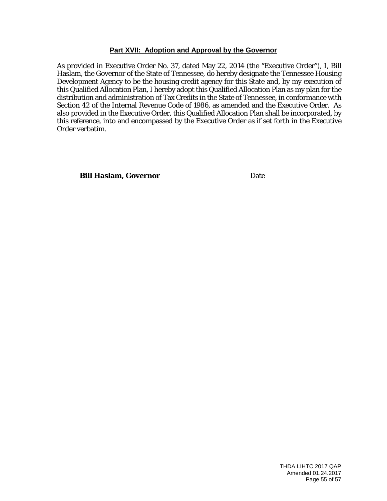#### **Part XVII: Adoption and Approval by the Governor**

As provided in Executive Order No. 37, dated May 22, 2014 (the "Executive Order"), I, Bill Haslam, the Governor of the State of Tennessee, do hereby designate the Tennessee Housing Development Agency to be the housing credit agency for this State and, by my execution of this Qualified Allocation Plan, I hereby adopt this Qualified Allocation Plan as my plan for the distribution and administration of Tax Credits in the State of Tennessee, in conformance with Section 42 of the Internal Revenue Code of 1986, as amended and the Executive Order. As also provided in the Executive Order, this Qualified Allocation Plan shall be incorporated, by this reference, into and encompassed by the Executive Order as if set forth in the Executive Order verbatim.

\_\_\_\_\_\_\_\_\_\_\_\_\_\_\_\_\_\_\_\_\_\_\_\_\_\_\_\_\_\_\_\_\_\_\_ \_\_\_\_\_\_\_\_\_\_\_\_\_\_\_\_\_\_\_\_

**Bill Haslam, Governor** Date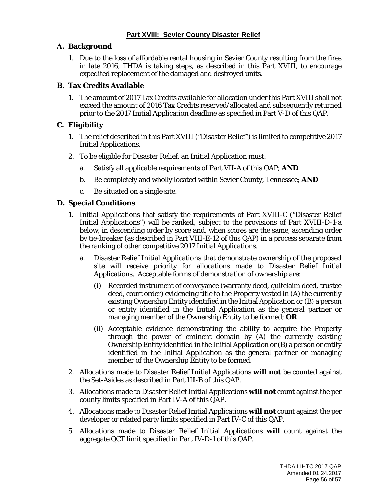# **A. Background**

1. Due to the loss of affordable rental housing in Sevier County resulting from the fires in late 2016, THDA is taking steps, as described in this Part XVIII, to encourage expedited replacement of the damaged and destroyed units.

# **B. Tax Credits Available**

1. The amount of 2017 Tax Credits available for allocation under this Part XVIII shall not exceed the amount of 2016 Tax Credits reserved/allocated and subsequently returned prior to the 2017 Initial Application deadline as specified in Part V-D of this QAP.

# **C. Eligibility**

- 1. The relief described in this Part XVIII ("Disaster Relief") is limited to competitive 2017 Initial Applications.
- 2. To be eligible for Disaster Relief, an Initial Application must:
	- a. Satisfy all applicable requirements of Part VII-A of this QAP; **AND**
	- b. Be completely and wholly located within Sevier County, Tennessee; **AND**
	- c. Be situated on a single site.

# **D. Special Conditions**

- 1. Initial Applications that satisfy the requirements of Part XVIII-C ("Disaster Relief Initial Applications") will be ranked, subject to the provisions of Part XVIII-D-1-a below, in descending order by score and, when scores are the same, ascending order by tie-breaker (as described in Part VIII-E-12 of this QAP) in a process separate from the ranking of other competitive 2017 Initial Applications.
	- a. Disaster Relief Initial Applications that demonstrate ownership of the proposed site will receive priority for allocations made to Disaster Relief Initial Applications. Acceptable forms of demonstration of ownership are:
		- (i) Recorded instrument of conveyance (warranty deed, quitclaim deed, trustee deed, court order) evidencing title to the Property vested in (A) the currently existing Ownership Entity identified in the Initial Application or (B) a person or entity identified in the Initial Application as the general partner or managing member of the Ownership Entity to be formed; **OR**
		- (ii) Acceptable evidence demonstrating the ability to acquire the Property through the power of eminent domain by (A) the currently existing Ownership Entity identified in the Initial Application or (B) a person or entity identified in the Initial Application as the general partner or managing member of the Ownership Entity to be formed.
- 2. Allocations made to Disaster Relief Initial Applications **will not** be counted against the Set-Asides as described in Part III-B of this QAP.
- 3. Allocations made to Disaster Relief Initial Applications **will not** count against the per county limits specified in Part IV-A of this QAP.
- 4. Allocations made to Disaster Relief Initial Applications **will not** count against the per developer or related party limits specified in Part IV-C of this QAP.
- 5. Allocations made to Disaster Relief Initial Applications **will** count against the aggregate QCT limit specified in Part IV-D-1 of this QAP.